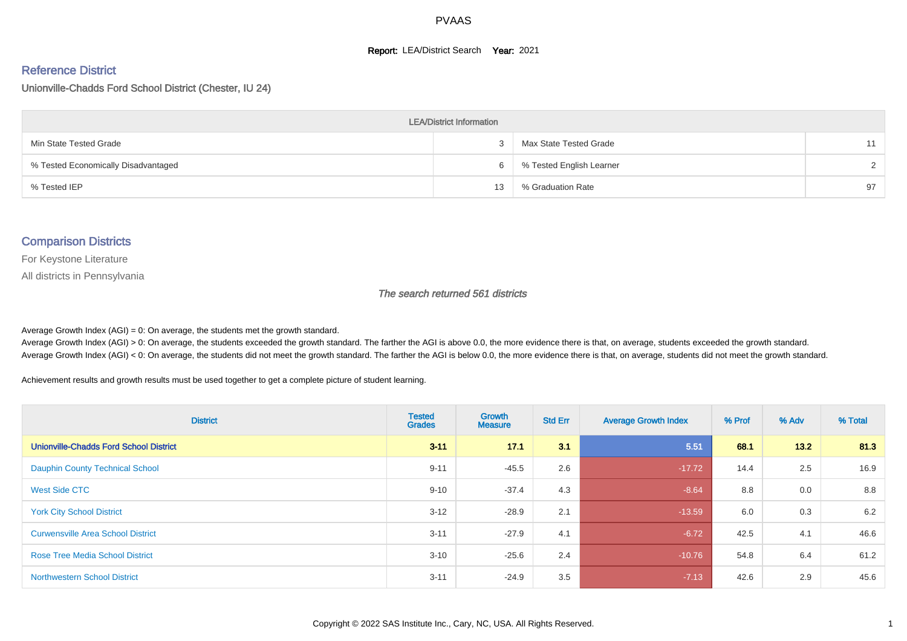#### **Report: LEA/District Search Year: 2021**

#### Reference District

Unionville-Chadds Ford School District (Chester, IU 24)

| <b>LEA/District Information</b>     |    |                          |               |  |  |  |  |  |  |  |
|-------------------------------------|----|--------------------------|---------------|--|--|--|--|--|--|--|
| Min State Tested Grade              |    | Max State Tested Grade   | 11            |  |  |  |  |  |  |  |
| % Tested Economically Disadvantaged | 6  | % Tested English Learner | $\mathcal{D}$ |  |  |  |  |  |  |  |
| % Tested IEP                        | 13 | % Graduation Rate        | 97            |  |  |  |  |  |  |  |

#### Comparison Districts

For Keystone Literature

All districts in Pennsylvania

The search returned 561 districts

Average Growth Index  $(AGI) = 0$ : On average, the students met the growth standard.

Average Growth Index (AGI) > 0: On average, the students exceeded the growth standard. The farther the AGI is above 0.0, the more evidence there is that, on average, students exceeded the growth standard. Average Growth Index (AGI) < 0: On average, the students did not meet the growth standard. The farther the AGI is below 0.0, the more evidence there is that, on average, students did not meet the growth standard.

Achievement results and growth results must be used together to get a complete picture of student learning.

| <b>District</b>                               | <b>Tested</b><br><b>Grades</b> | <b>Growth</b><br><b>Measure</b> | <b>Std Err</b> | <b>Average Growth Index</b> | % Prof | % Adv | % Total |
|-----------------------------------------------|--------------------------------|---------------------------------|----------------|-----------------------------|--------|-------|---------|
| <b>Unionville-Chadds Ford School District</b> | $3 - 11$                       | 17.1                            | 3.1            | 5.51                        | 68.1   | 13.2  | 81.3    |
| <b>Dauphin County Technical School</b>        | $9 - 11$                       | $-45.5$                         | 2.6            | $-17.72$                    | 14.4   | 2.5   | 16.9    |
| West Side CTC                                 | $9 - 10$                       | $-37.4$                         | 4.3            | $-8.64$                     | 8.8    | 0.0   | 8.8     |
| <b>York City School District</b>              | $3 - 12$                       | $-28.9$                         | 2.1            | $-13.59$                    | 6.0    | 0.3   | 6.2     |
| <b>Curwensville Area School District</b>      | $3 - 11$                       | $-27.9$                         | 4.1            | $-6.72$                     | 42.5   | 4.1   | 46.6    |
| <b>Rose Tree Media School District</b>        | $3 - 10$                       | $-25.6$                         | 2.4            | $-10.76$                    | 54.8   | 6.4   | 61.2    |
| <b>Northwestern School District</b>           | $3 - 11$                       | $-24.9$                         | 3.5            | $-7.13$                     | 42.6   | 2.9   | 45.6    |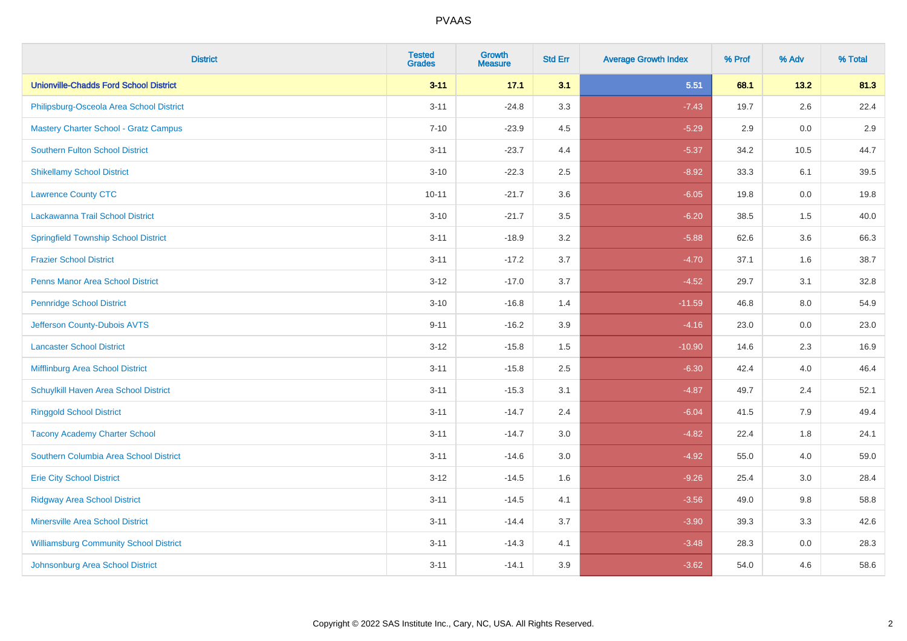| <b>District</b>                               | <b>Tested</b><br><b>Grades</b> | <b>Growth</b><br><b>Measure</b> | <b>Std Err</b> | <b>Average Growth Index</b> | % Prof | % Adv   | % Total |
|-----------------------------------------------|--------------------------------|---------------------------------|----------------|-----------------------------|--------|---------|---------|
| <b>Unionville-Chadds Ford School District</b> | $3 - 11$                       | 17.1                            | 3.1            | 5.51                        | 68.1   | 13.2    | 81.3    |
| Philipsburg-Osceola Area School District      | $3 - 11$                       | $-24.8$                         | 3.3            | $-7.43$                     | 19.7   | 2.6     | 22.4    |
| <b>Mastery Charter School - Gratz Campus</b>  | $7 - 10$                       | $-23.9$                         | 4.5            | $-5.29$                     | 2.9    | 0.0     | 2.9     |
| Southern Fulton School District               | $3 - 11$                       | $-23.7$                         | 4.4            | $-5.37$                     | 34.2   | 10.5    | 44.7    |
| <b>Shikellamy School District</b>             | $3 - 10$                       | $-22.3$                         | 2.5            | $-8.92$                     | 33.3   | 6.1     | 39.5    |
| <b>Lawrence County CTC</b>                    | $10 - 11$                      | $-21.7$                         | 3.6            | $-6.05$                     | 19.8   | 0.0     | 19.8    |
| Lackawanna Trail School District              | $3 - 10$                       | $-21.7$                         | 3.5            | $-6.20$                     | 38.5   | 1.5     | 40.0    |
| <b>Springfield Township School District</b>   | $3 - 11$                       | $-18.9$                         | 3.2            | $-5.88$                     | 62.6   | 3.6     | 66.3    |
| <b>Frazier School District</b>                | $3 - 11$                       | $-17.2$                         | 3.7            | $-4.70$                     | 37.1   | 1.6     | 38.7    |
| <b>Penns Manor Area School District</b>       | $3 - 12$                       | $-17.0$                         | 3.7            | $-4.52$                     | 29.7   | 3.1     | 32.8    |
| <b>Pennridge School District</b>              | $3 - 10$                       | $-16.8$                         | 1.4            | $-11.59$                    | 46.8   | 8.0     | 54.9    |
| Jefferson County-Dubois AVTS                  | $9 - 11$                       | $-16.2$                         | 3.9            | $-4.16$                     | 23.0   | 0.0     | 23.0    |
| <b>Lancaster School District</b>              | $3 - 12$                       | $-15.8$                         | $1.5\,$        | $-10.90$                    | 14.6   | 2.3     | 16.9    |
| Mifflinburg Area School District              | $3 - 11$                       | $-15.8$                         | 2.5            | $-6.30$                     | 42.4   | 4.0     | 46.4    |
| Schuylkill Haven Area School District         | $3 - 11$                       | $-15.3$                         | 3.1            | $-4.87$                     | 49.7   | 2.4     | 52.1    |
| <b>Ringgold School District</b>               | $3 - 11$                       | $-14.7$                         | 2.4            | $-6.04$                     | 41.5   | 7.9     | 49.4    |
| <b>Tacony Academy Charter School</b>          | $3 - 11$                       | $-14.7$                         | 3.0            | $-4.82$                     | 22.4   | 1.8     | 24.1    |
| Southern Columbia Area School District        | $3 - 11$                       | $-14.6$                         | 3.0            | $-4.92$                     | 55.0   | 4.0     | 59.0    |
| <b>Erie City School District</b>              | $3 - 12$                       | $-14.5$                         | 1.6            | $-9.26$                     | 25.4   | 3.0     | 28.4    |
| <b>Ridgway Area School District</b>           | $3 - 11$                       | $-14.5$                         | 4.1            | $-3.56$                     | 49.0   | 9.8     | 58.8    |
| <b>Minersville Area School District</b>       | $3 - 11$                       | $-14.4$                         | 3.7            | $-3.90$                     | 39.3   | 3.3     | 42.6    |
| <b>Williamsburg Community School District</b> | $3 - 11$                       | $-14.3$                         | 4.1            | $-3.48$                     | 28.3   | $0.0\,$ | 28.3    |
| Johnsonburg Area School District              | $3 - 11$                       | $-14.1$                         | 3.9            | $-3.62$                     | 54.0   | 4.6     | 58.6    |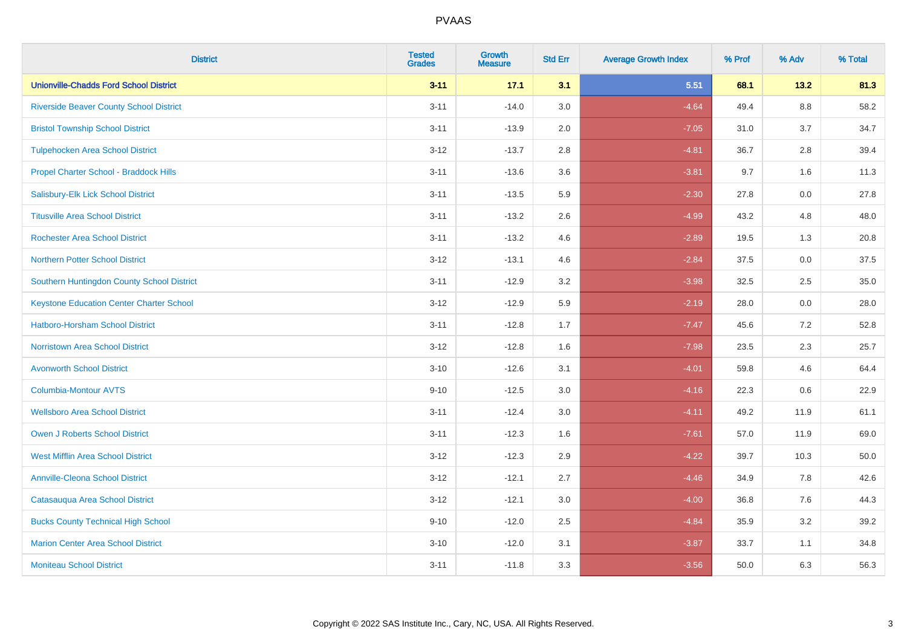| <b>District</b>                                 | <b>Tested</b><br><b>Grades</b> | Growth<br><b>Measure</b> | <b>Std Err</b> | <b>Average Growth Index</b> | % Prof | % Adv   | % Total |
|-------------------------------------------------|--------------------------------|--------------------------|----------------|-----------------------------|--------|---------|---------|
| <b>Unionville-Chadds Ford School District</b>   | $3 - 11$                       | 17.1                     | 3.1            | 5.51                        | 68.1   | 13.2    | 81.3    |
| <b>Riverside Beaver County School District</b>  | $3 - 11$                       | $-14.0$                  | 3.0            | $-4.64$                     | 49.4   | 8.8     | 58.2    |
| <b>Bristol Township School District</b>         | $3 - 11$                       | $-13.9$                  | 2.0            | $-7.05$                     | 31.0   | 3.7     | 34.7    |
| <b>Tulpehocken Area School District</b>         | $3 - 12$                       | $-13.7$                  | 2.8            | $-4.81$                     | 36.7   | 2.8     | 39.4    |
| Propel Charter School - Braddock Hills          | $3 - 11$                       | $-13.6$                  | 3.6            | $-3.81$                     | 9.7    | 1.6     | 11.3    |
| Salisbury-Elk Lick School District              | $3 - 11$                       | $-13.5$                  | 5.9            | $-2.30$                     | 27.8   | $0.0\,$ | 27.8    |
| <b>Titusville Area School District</b>          | $3 - 11$                       | $-13.2$                  | 2.6            | $-4.99$                     | 43.2   | 4.8     | 48.0    |
| <b>Rochester Area School District</b>           | $3 - 11$                       | $-13.2$                  | 4.6            | $-2.89$                     | 19.5   | 1.3     | 20.8    |
| <b>Northern Potter School District</b>          | $3 - 12$                       | $-13.1$                  | 4.6            | $-2.84$                     | 37.5   | 0.0     | 37.5    |
| Southern Huntingdon County School District      | $3 - 11$                       | $-12.9$                  | 3.2            | $-3.98$                     | 32.5   | 2.5     | 35.0    |
| <b>Keystone Education Center Charter School</b> | $3 - 12$                       | $-12.9$                  | 5.9            | $-2.19$                     | 28.0   | 0.0     | 28.0    |
| Hatboro-Horsham School District                 | $3 - 11$                       | $-12.8$                  | 1.7            | $-7.47$                     | 45.6   | 7.2     | 52.8    |
| Norristown Area School District                 | $3 - 12$                       | $-12.8$                  | 1.6            | $-7.98$                     | 23.5   | 2.3     | 25.7    |
| <b>Avonworth School District</b>                | $3 - 10$                       | $-12.6$                  | 3.1            | $-4.01$                     | 59.8   | 4.6     | 64.4    |
| <b>Columbia-Montour AVTS</b>                    | $9 - 10$                       | $-12.5$                  | 3.0            | $-4.16$                     | 22.3   | 0.6     | 22.9    |
| <b>Wellsboro Area School District</b>           | $3 - 11$                       | $-12.4$                  | 3.0            | $-4.11$                     | 49.2   | 11.9    | 61.1    |
| <b>Owen J Roberts School District</b>           | $3 - 11$                       | $-12.3$                  | 1.6            | $-7.61$                     | 57.0   | 11.9    | 69.0    |
| <b>West Mifflin Area School District</b>        | $3 - 12$                       | $-12.3$                  | 2.9            | $-4.22$                     | 39.7   | 10.3    | 50.0    |
| <b>Annville-Cleona School District</b>          | $3 - 12$                       | $-12.1$                  | 2.7            | $-4.46$                     | 34.9   | 7.8     | 42.6    |
| Catasauqua Area School District                 | $3 - 12$                       | $-12.1$                  | 3.0            | $-4.00$                     | 36.8   | 7.6     | 44.3    |
| <b>Bucks County Technical High School</b>       | $9 - 10$                       | $-12.0$                  | 2.5            | $-4.84$                     | 35.9   | 3.2     | 39.2    |
| <b>Marion Center Area School District</b>       | $3 - 10$                       | $-12.0$                  | 3.1            | $-3.87$                     | 33.7   | 1.1     | 34.8    |
| <b>Moniteau School District</b>                 | $3 - 11$                       | $-11.8$                  | 3.3            | $-3.56$                     | 50.0   | 6.3     | 56.3    |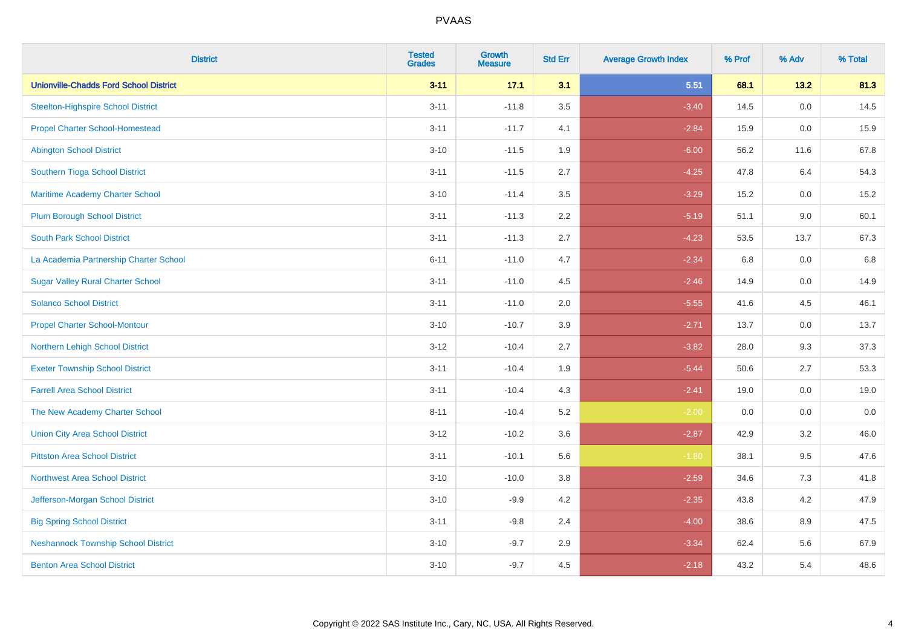| <b>District</b>                               | <b>Tested</b><br><b>Grades</b> | <b>Growth</b><br><b>Measure</b> | <b>Std Err</b> | <b>Average Growth Index</b> | % Prof | % Adv | % Total |
|-----------------------------------------------|--------------------------------|---------------------------------|----------------|-----------------------------|--------|-------|---------|
| <b>Unionville-Chadds Ford School District</b> | $3 - 11$                       | 17.1                            | 3.1            | 5.51                        | 68.1   | 13.2  | 81.3    |
| <b>Steelton-Highspire School District</b>     | $3 - 11$                       | $-11.8$                         | 3.5            | $-3.40$                     | 14.5   | 0.0   | 14.5    |
| <b>Propel Charter School-Homestead</b>        | $3 - 11$                       | $-11.7$                         | 4.1            | $-2.84$                     | 15.9   | 0.0   | 15.9    |
| <b>Abington School District</b>               | $3 - 10$                       | $-11.5$                         | 1.9            | $-6.00$                     | 56.2   | 11.6  | 67.8    |
| Southern Tioga School District                | $3 - 11$                       | $-11.5$                         | 2.7            | $-4.25$                     | 47.8   | 6.4   | 54.3    |
| Maritime Academy Charter School               | $3 - 10$                       | $-11.4$                         | 3.5            | $-3.29$                     | 15.2   | 0.0   | 15.2    |
| <b>Plum Borough School District</b>           | $3 - 11$                       | $-11.3$                         | 2.2            | $-5.19$                     | 51.1   | 9.0   | 60.1    |
| <b>South Park School District</b>             | $3 - 11$                       | $-11.3$                         | 2.7            | $-4.23$                     | 53.5   | 13.7  | 67.3    |
| La Academia Partnership Charter School        | $6 - 11$                       | $-11.0$                         | 4.7            | $-2.34$                     | 6.8    | 0.0   | 6.8     |
| <b>Sugar Valley Rural Charter School</b>      | $3 - 11$                       | $-11.0$                         | 4.5            | $-2.46$                     | 14.9   | 0.0   | 14.9    |
| <b>Solanco School District</b>                | $3 - 11$                       | $-11.0$                         | 2.0            | $-5.55$                     | 41.6   | 4.5   | 46.1    |
| <b>Propel Charter School-Montour</b>          | $3 - 10$                       | $-10.7$                         | 3.9            | $-2.71$                     | 13.7   | 0.0   | 13.7    |
| Northern Lehigh School District               | $3 - 12$                       | $-10.4$                         | 2.7            | $-3.82$                     | 28.0   | 9.3   | 37.3    |
| <b>Exeter Township School District</b>        | $3 - 11$                       | $-10.4$                         | 1.9            | $-5.44$                     | 50.6   | 2.7   | 53.3    |
| <b>Farrell Area School District</b>           | $3 - 11$                       | $-10.4$                         | 4.3            | $-2.41$                     | 19.0   | 0.0   | 19.0    |
| The New Academy Charter School                | $8 - 11$                       | $-10.4$                         | 5.2            | $-2.00$                     | 0.0    | 0.0   | 0.0     |
| <b>Union City Area School District</b>        | $3 - 12$                       | $-10.2$                         | 3.6            | $-2.87$                     | 42.9   | 3.2   | 46.0    |
| <b>Pittston Area School District</b>          | $3 - 11$                       | $-10.1$                         | 5.6            | $-1.80$                     | 38.1   | 9.5   | 47.6    |
| Northwest Area School District                | $3 - 10$                       | $-10.0$                         | $3.8\,$        | $-2.59$                     | 34.6   | 7.3   | 41.8    |
| Jefferson-Morgan School District              | $3 - 10$                       | $-9.9$                          | 4.2            | $-2.35$                     | 43.8   | 4.2   | 47.9    |
| <b>Big Spring School District</b>             | $3 - 11$                       | $-9.8$                          | 2.4            | $-4.00$                     | 38.6   | 8.9   | 47.5    |
| <b>Neshannock Township School District</b>    | $3 - 10$                       | $-9.7$                          | 2.9            | $-3.34$                     | 62.4   | 5.6   | 67.9    |
| <b>Benton Area School District</b>            | $3 - 10$                       | $-9.7$                          | 4.5            | $-2.18$                     | 43.2   | 5.4   | 48.6    |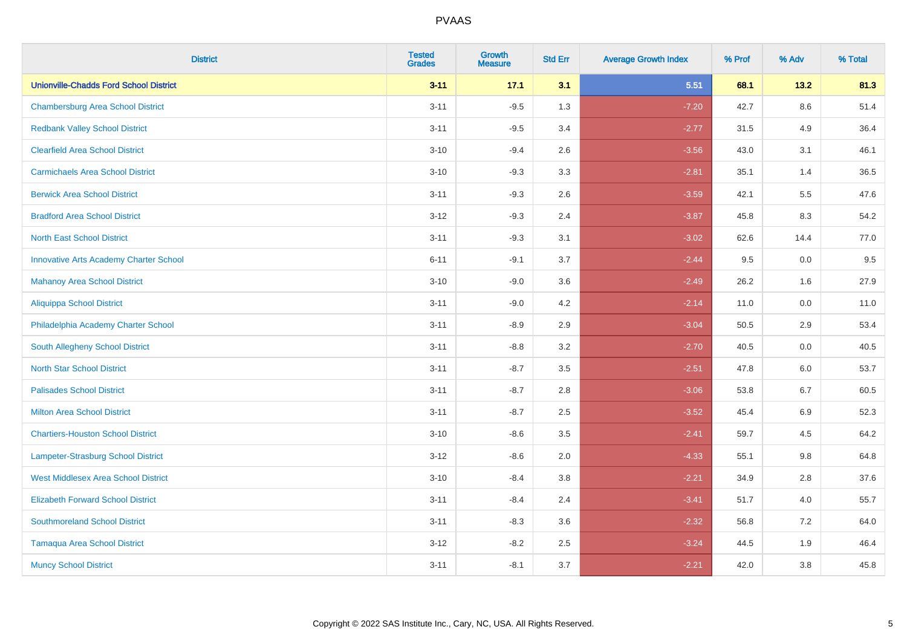| <b>District</b>                               | <b>Tested</b><br><b>Grades</b> | <b>Growth</b><br><b>Measure</b> | <b>Std Err</b> | <b>Average Growth Index</b> | % Prof | % Adv   | % Total |
|-----------------------------------------------|--------------------------------|---------------------------------|----------------|-----------------------------|--------|---------|---------|
| <b>Unionville-Chadds Ford School District</b> | $3 - 11$                       | 17.1                            | 3.1            | 5.51                        | 68.1   | 13.2    | 81.3    |
| <b>Chambersburg Area School District</b>      | $3 - 11$                       | $-9.5$                          | 1.3            | $-7.20$                     | 42.7   | 8.6     | 51.4    |
| <b>Redbank Valley School District</b>         | $3 - 11$                       | $-9.5$                          | 3.4            | $-2.77$                     | 31.5   | 4.9     | 36.4    |
| <b>Clearfield Area School District</b>        | $3 - 10$                       | $-9.4$                          | 2.6            | $-3.56$                     | 43.0   | 3.1     | 46.1    |
| <b>Carmichaels Area School District</b>       | $3 - 10$                       | $-9.3$                          | 3.3            | $-2.81$                     | 35.1   | 1.4     | 36.5    |
| <b>Berwick Area School District</b>           | $3 - 11$                       | $-9.3$                          | 2.6            | $-3.59$                     | 42.1   | 5.5     | 47.6    |
| <b>Bradford Area School District</b>          | $3 - 12$                       | $-9.3$                          | 2.4            | $-3.87$                     | 45.8   | 8.3     | 54.2    |
| <b>North East School District</b>             | $3 - 11$                       | $-9.3$                          | 3.1            | $-3.02$                     | 62.6   | 14.4    | 77.0    |
| <b>Innovative Arts Academy Charter School</b> | $6 - 11$                       | $-9.1$                          | 3.7            | $-2.44$                     | 9.5    | 0.0     | 9.5     |
| <b>Mahanoy Area School District</b>           | $3 - 10$                       | $-9.0$                          | 3.6            | $-2.49$                     | 26.2   | 1.6     | 27.9    |
| <b>Aliquippa School District</b>              | $3 - 11$                       | $-9.0$                          | 4.2            | $-2.14$                     | 11.0   | 0.0     | 11.0    |
| Philadelphia Academy Charter School           | $3 - 11$                       | $-8.9$                          | 2.9            | $-3.04$                     | 50.5   | 2.9     | 53.4    |
| South Allegheny School District               | $3 - 11$                       | $-8.8$                          | 3.2            | $-2.70$                     | 40.5   | $0.0\,$ | 40.5    |
| <b>North Star School District</b>             | $3 - 11$                       | $-8.7$                          | 3.5            | $-2.51$                     | 47.8   | 6.0     | 53.7    |
| <b>Palisades School District</b>              | $3 - 11$                       | $-8.7$                          | 2.8            | $-3.06$                     | 53.8   | 6.7     | 60.5    |
| <b>Milton Area School District</b>            | $3 - 11$                       | $-8.7$                          | 2.5            | $-3.52$                     | 45.4   | 6.9     | 52.3    |
| <b>Chartiers-Houston School District</b>      | $3 - 10$                       | $-8.6$                          | 3.5            | $-2.41$                     | 59.7   | 4.5     | 64.2    |
| Lampeter-Strasburg School District            | $3 - 12$                       | $-8.6$                          | 2.0            | $-4.33$                     | 55.1   | 9.8     | 64.8    |
| <b>West Middlesex Area School District</b>    | $3 - 10$                       | $-8.4$                          | $3.8\,$        | $-2.21$                     | 34.9   | 2.8     | 37.6    |
| <b>Elizabeth Forward School District</b>      | $3 - 11$                       | $-8.4$                          | 2.4            | $-3.41$                     | 51.7   | 4.0     | 55.7    |
| <b>Southmoreland School District</b>          | $3 - 11$                       | $-8.3$                          | 3.6            | $-2.32$                     | 56.8   | 7.2     | 64.0    |
| <b>Tamaqua Area School District</b>           | $3 - 12$                       | $-8.2$                          | 2.5            | $-3.24$                     | 44.5   | 1.9     | 46.4    |
| <b>Muncy School District</b>                  | $3 - 11$                       | $-8.1$                          | 3.7            | $-2.21$                     | 42.0   | 3.8     | 45.8    |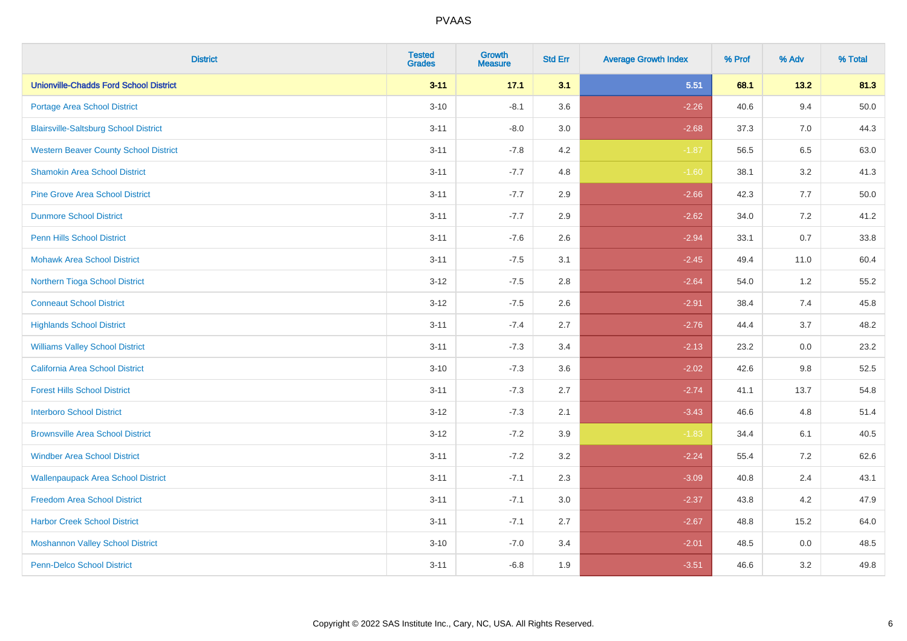| <b>District</b>                               | <b>Tested</b><br><b>Grades</b> | <b>Growth</b><br><b>Measure</b> | <b>Std Err</b> | <b>Average Growth Index</b> | % Prof | % Adv   | % Total |
|-----------------------------------------------|--------------------------------|---------------------------------|----------------|-----------------------------|--------|---------|---------|
| <b>Unionville-Chadds Ford School District</b> | $3 - 11$                       | 17.1                            | 3.1            | 5.51                        | 68.1   | 13.2    | 81.3    |
| Portage Area School District                  | $3 - 10$                       | $-8.1$                          | 3.6            | $-2.26$                     | 40.6   | 9.4     | 50.0    |
| <b>Blairsville-Saltsburg School District</b>  | $3 - 11$                       | $-8.0$                          | 3.0            | $-2.68$                     | 37.3   | 7.0     | 44.3    |
| <b>Western Beaver County School District</b>  | $3 - 11$                       | $-7.8$                          | 4.2            | $-1.87$                     | 56.5   | 6.5     | 63.0    |
| <b>Shamokin Area School District</b>          | $3 - 11$                       | $-7.7$                          | 4.8            | $-1.60$                     | 38.1   | 3.2     | 41.3    |
| <b>Pine Grove Area School District</b>        | $3 - 11$                       | $-7.7$                          | 2.9            | $-2.66$                     | 42.3   | 7.7     | 50.0    |
| <b>Dunmore School District</b>                | $3 - 11$                       | $-7.7$                          | 2.9            | $-2.62$                     | 34.0   | 7.2     | 41.2    |
| <b>Penn Hills School District</b>             | $3 - 11$                       | $-7.6$                          | 2.6            | $-2.94$                     | 33.1   | 0.7     | 33.8    |
| <b>Mohawk Area School District</b>            | $3 - 11$                       | $-7.5$                          | 3.1            | $-2.45$                     | 49.4   | 11.0    | 60.4    |
| Northern Tioga School District                | $3-12$                         | $-7.5$                          | 2.8            | $-2.64$                     | 54.0   | $1.2\,$ | 55.2    |
| <b>Conneaut School District</b>               | $3-12$                         | $-7.5$                          | 2.6            | $-2.91$                     | 38.4   | 7.4     | 45.8    |
| <b>Highlands School District</b>              | $3 - 11$                       | $-7.4$                          | 2.7            | $-2.76$                     | 44.4   | 3.7     | 48.2    |
| <b>Williams Valley School District</b>        | $3 - 11$                       | $-7.3$                          | 3.4            | $-2.13$                     | 23.2   | $0.0\,$ | 23.2    |
| California Area School District               | $3 - 10$                       | $-7.3$                          | 3.6            | $-2.02$                     | 42.6   | $9.8\,$ | 52.5    |
| <b>Forest Hills School District</b>           | $3 - 11$                       | $-7.3$                          | 2.7            | $-2.74$                     | 41.1   | 13.7    | 54.8    |
| <b>Interboro School District</b>              | $3 - 12$                       | $-7.3$                          | 2.1            | $-3.43$                     | 46.6   | 4.8     | 51.4    |
| <b>Brownsville Area School District</b>       | $3 - 12$                       | $-7.2$                          | 3.9            | $-1.83$                     | 34.4   | 6.1     | 40.5    |
| <b>Windber Area School District</b>           | $3 - 11$                       | $-7.2$                          | 3.2            | $-2.24$                     | 55.4   | 7.2     | 62.6    |
| <b>Wallenpaupack Area School District</b>     | $3 - 11$                       | $-7.1$                          | 2.3            | $-3.09$                     | 40.8   | 2.4     | 43.1    |
| <b>Freedom Area School District</b>           | $3 - 11$                       | $-7.1$                          | 3.0            | $-2.37$                     | 43.8   | 4.2     | 47.9    |
| <b>Harbor Creek School District</b>           | $3 - 11$                       | $-7.1$                          | 2.7            | $-2.67$                     | 48.8   | 15.2    | 64.0    |
| <b>Moshannon Valley School District</b>       | $3 - 10$                       | $-7.0$                          | 3.4            | $-2.01$                     | 48.5   | $0.0\,$ | 48.5    |
| Penn-Delco School District                    | $3 - 11$                       | $-6.8$                          | 1.9            | $-3.51$                     | 46.6   | 3.2     | 49.8    |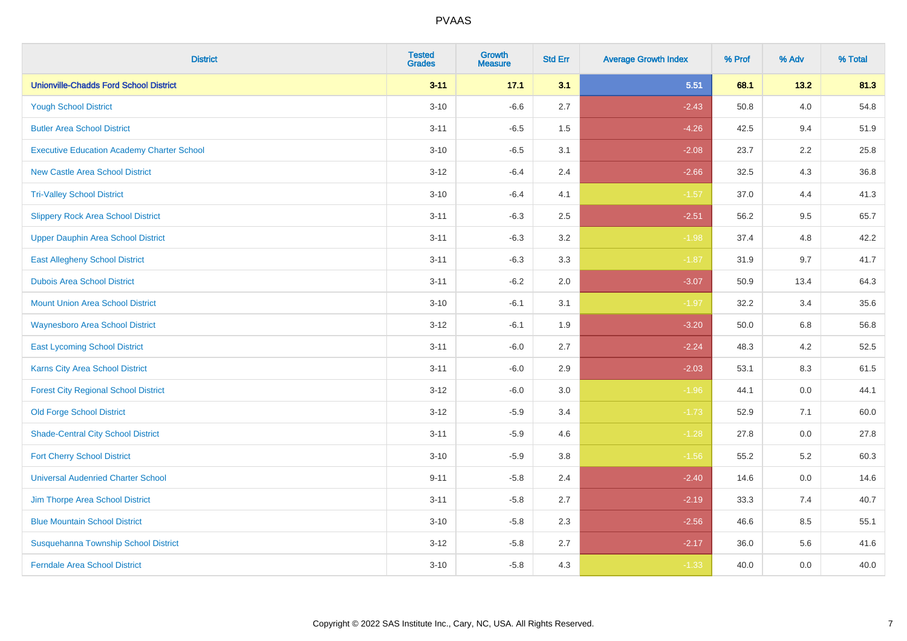| <b>District</b>                                   | <b>Tested</b><br><b>Grades</b> | <b>Growth</b><br><b>Measure</b> | <b>Std Err</b> | <b>Average Growth Index</b> | % Prof | % Adv   | % Total |
|---------------------------------------------------|--------------------------------|---------------------------------|----------------|-----------------------------|--------|---------|---------|
| <b>Unionville-Chadds Ford School District</b>     | $3 - 11$                       | 17.1                            | 3.1            | 5.51                        | 68.1   | 13.2    | 81.3    |
| <b>Yough School District</b>                      | $3 - 10$                       | $-6.6$                          | 2.7            | $-2.43$                     | 50.8   | $4.0\,$ | 54.8    |
| <b>Butler Area School District</b>                | $3 - 11$                       | $-6.5$                          | 1.5            | $-4.26$                     | 42.5   | 9.4     | 51.9    |
| <b>Executive Education Academy Charter School</b> | $3 - 10$                       | $-6.5$                          | 3.1            | $-2.08$                     | 23.7   | 2.2     | 25.8    |
| <b>New Castle Area School District</b>            | $3 - 12$                       | $-6.4$                          | 2.4            | $-2.66$                     | 32.5   | 4.3     | 36.8    |
| <b>Tri-Valley School District</b>                 | $3 - 10$                       | $-6.4$                          | 4.1            | $-1.57$                     | 37.0   | 4.4     | 41.3    |
| <b>Slippery Rock Area School District</b>         | $3 - 11$                       | $-6.3$                          | 2.5            | $-2.51$                     | 56.2   | 9.5     | 65.7    |
| <b>Upper Dauphin Area School District</b>         | $3 - 11$                       | $-6.3$                          | 3.2            | $-1.98$                     | 37.4   | 4.8     | 42.2    |
| <b>East Allegheny School District</b>             | $3 - 11$                       | $-6.3$                          | 3.3            | $-1.87$                     | 31.9   | 9.7     | 41.7    |
| <b>Dubois Area School District</b>                | $3 - 11$                       | $-6.2$                          | 2.0            | $-3.07$                     | 50.9   | 13.4    | 64.3    |
| <b>Mount Union Area School District</b>           | $3 - 10$                       | $-6.1$                          | 3.1            | $-1.97$                     | 32.2   | 3.4     | 35.6    |
| <b>Waynesboro Area School District</b>            | $3 - 12$                       | $-6.1$                          | 1.9            | $-3.20$                     | 50.0   | 6.8     | 56.8    |
| <b>East Lycoming School District</b>              | $3 - 11$                       | $-6.0$                          | 2.7            | $-2.24$                     | 48.3   | 4.2     | 52.5    |
| <b>Karns City Area School District</b>            | $3 - 11$                       | $-6.0$                          | 2.9            | $-2.03$                     | 53.1   | 8.3     | 61.5    |
| <b>Forest City Regional School District</b>       | $3 - 12$                       | $-6.0$                          | 3.0            | $-1.96$                     | 44.1   | 0.0     | 44.1    |
| <b>Old Forge School District</b>                  | $3 - 12$                       | $-5.9$                          | 3.4            | $-1.73$                     | 52.9   | 7.1     | 60.0    |
| <b>Shade-Central City School District</b>         | $3 - 11$                       | $-5.9$                          | 4.6            | $-1.28$                     | 27.8   | 0.0     | 27.8    |
| <b>Fort Cherry School District</b>                | $3 - 10$                       | $-5.9$                          | 3.8            | $-1.56$                     | 55.2   | 5.2     | 60.3    |
| <b>Universal Audenried Charter School</b>         | $9 - 11$                       | $-5.8$                          | 2.4            | $-2.40$                     | 14.6   | 0.0     | 14.6    |
| Jim Thorpe Area School District                   | $3 - 11$                       | $-5.8$                          | 2.7            | $-2.19$                     | 33.3   | 7.4     | 40.7    |
| <b>Blue Mountain School District</b>              | $3 - 10$                       | $-5.8$                          | 2.3            | $-2.56$                     | 46.6   | $8.5\,$ | 55.1    |
| Susquehanna Township School District              | $3 - 12$                       | $-5.8$                          | 2.7            | $-2.17$                     | 36.0   | 5.6     | 41.6    |
| <b>Ferndale Area School District</b>              | $3 - 10$                       | $-5.8$                          | 4.3            | $-1.33$                     | 40.0   | 0.0     | 40.0    |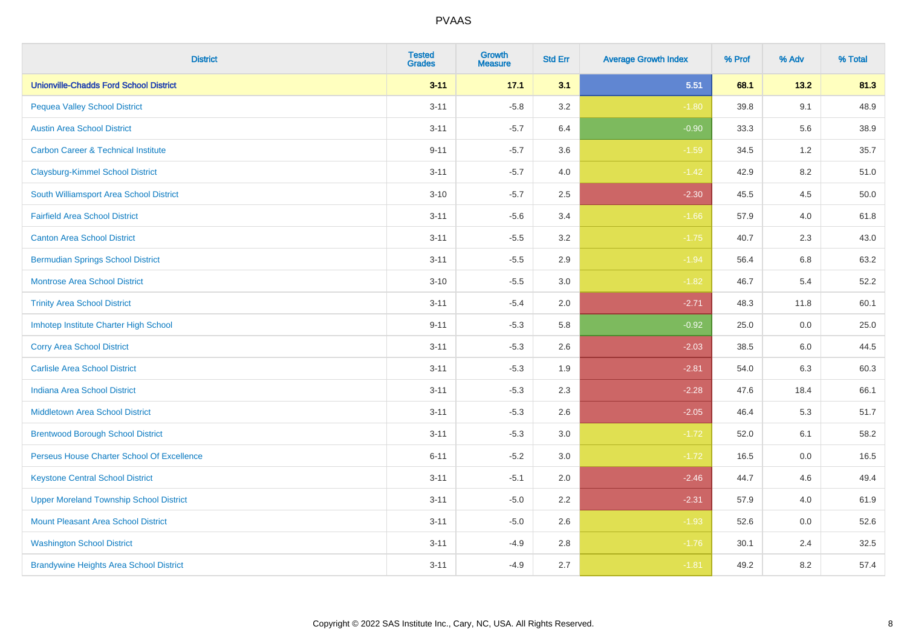| <b>District</b>                                | <b>Tested</b><br><b>Grades</b> | <b>Growth</b><br><b>Measure</b> | <b>Std Err</b> | <b>Average Growth Index</b> | % Prof | % Adv   | % Total |
|------------------------------------------------|--------------------------------|---------------------------------|----------------|-----------------------------|--------|---------|---------|
| <b>Unionville-Chadds Ford School District</b>  | $3 - 11$                       | 17.1                            | 3.1            | 5.51                        | 68.1   | 13.2    | 81.3    |
| <b>Pequea Valley School District</b>           | $3 - 11$                       | $-5.8$                          | 3.2            | $-1.80$                     | 39.8   | 9.1     | 48.9    |
| <b>Austin Area School District</b>             | $3 - 11$                       | $-5.7$                          | 6.4            | $-0.90$                     | 33.3   | 5.6     | 38.9    |
| <b>Carbon Career &amp; Technical Institute</b> | $9 - 11$                       | $-5.7$                          | 3.6            | $-1.59$                     | 34.5   | $1.2$   | 35.7    |
| <b>Claysburg-Kimmel School District</b>        | $3 - 11$                       | $-5.7$                          | 4.0            | $-1.42$                     | 42.9   | 8.2     | 51.0    |
| South Williamsport Area School District        | $3 - 10$                       | $-5.7$                          | 2.5            | $-2.30$                     | 45.5   | 4.5     | 50.0    |
| <b>Fairfield Area School District</b>          | $3 - 11$                       | $-5.6$                          | 3.4            | $-1.66$                     | 57.9   | 4.0     | 61.8    |
| <b>Canton Area School District</b>             | $3 - 11$                       | $-5.5$                          | 3.2            | $-1.75$                     | 40.7   | 2.3     | 43.0    |
| <b>Bermudian Springs School District</b>       | $3 - 11$                       | $-5.5$                          | 2.9            | $-1.94$                     | 56.4   | $6.8\,$ | 63.2    |
| <b>Montrose Area School District</b>           | $3 - 10$                       | $-5.5$                          | 3.0            | $-1.82$                     | 46.7   | 5.4     | 52.2    |
| <b>Trinity Area School District</b>            | $3 - 11$                       | $-5.4$                          | 2.0            | $-2.71$                     | 48.3   | 11.8    | 60.1    |
| Imhotep Institute Charter High School          | $9 - 11$                       | $-5.3$                          | 5.8            | $-0.92$                     | 25.0   | 0.0     | 25.0    |
| <b>Corry Area School District</b>              | $3 - 11$                       | $-5.3$                          | 2.6            | $-2.03$                     | 38.5   | 6.0     | 44.5    |
| <b>Carlisle Area School District</b>           | $3 - 11$                       | $-5.3$                          | 1.9            | $-2.81$                     | 54.0   | 6.3     | 60.3    |
| <b>Indiana Area School District</b>            | $3 - 11$                       | $-5.3$                          | 2.3            | $-2.28$                     | 47.6   | 18.4    | 66.1    |
| <b>Middletown Area School District</b>         | $3 - 11$                       | $-5.3$                          | 2.6            | $-2.05$                     | 46.4   | 5.3     | 51.7    |
| <b>Brentwood Borough School District</b>       | $3 - 11$                       | $-5.3$                          | 3.0            | $-1.72$                     | 52.0   | 6.1     | 58.2    |
| Perseus House Charter School Of Excellence     | $6 - 11$                       | $-5.2$                          | 3.0            | $-1.72$                     | 16.5   | 0.0     | 16.5    |
| <b>Keystone Central School District</b>        | $3 - 11$                       | $-5.1$                          | 2.0            | $-2.46$                     | 44.7   | 4.6     | 49.4    |
| <b>Upper Moreland Township School District</b> | $3 - 11$                       | $-5.0$                          | 2.2            | $-2.31$                     | 57.9   | 4.0     | 61.9    |
| <b>Mount Pleasant Area School District</b>     | $3 - 11$                       | $-5.0$                          | 2.6            | $-1.93$                     | 52.6   | 0.0     | 52.6    |
| <b>Washington School District</b>              | $3 - 11$                       | $-4.9$                          | $2.8\,$        | $-1.76$                     | 30.1   | 2.4     | 32.5    |
| <b>Brandywine Heights Area School District</b> | $3 - 11$                       | $-4.9$                          | 2.7            | $-1.81$                     | 49.2   | 8.2     | 57.4    |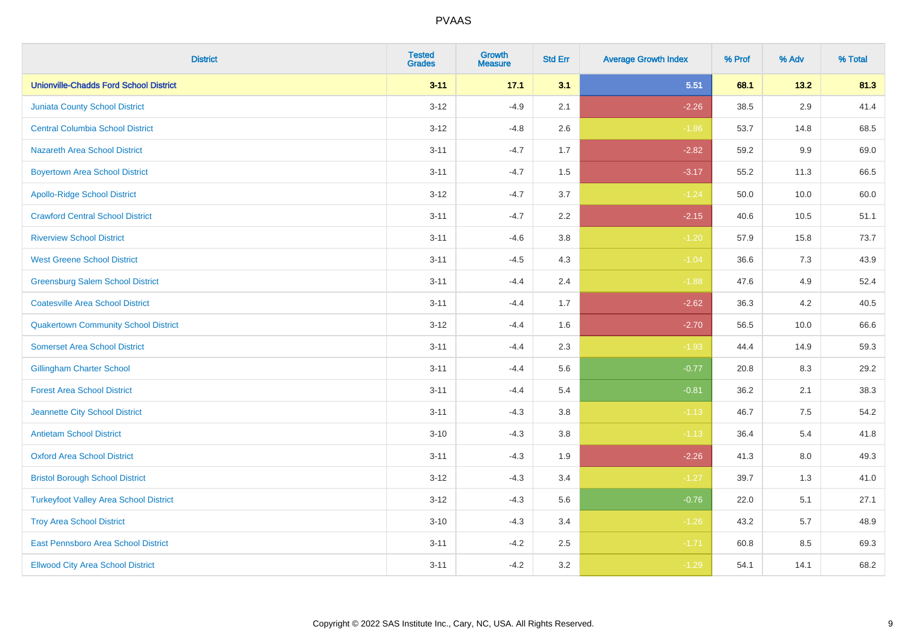| <b>District</b>                               | <b>Tested</b><br><b>Grades</b> | <b>Growth</b><br><b>Measure</b> | <b>Std Err</b> | <b>Average Growth Index</b> | % Prof | % Adv | % Total |
|-----------------------------------------------|--------------------------------|---------------------------------|----------------|-----------------------------|--------|-------|---------|
| <b>Unionville-Chadds Ford School District</b> | $3 - 11$                       | 17.1                            | 3.1            | 5.51                        | 68.1   | 13.2  | 81.3    |
| Juniata County School District                | $3 - 12$                       | $-4.9$                          | 2.1            | $-2.26$                     | 38.5   | 2.9   | 41.4    |
| <b>Central Columbia School District</b>       | $3 - 12$                       | $-4.8$                          | 2.6            | $-1.86$                     | 53.7   | 14.8  | 68.5    |
| <b>Nazareth Area School District</b>          | $3 - 11$                       | $-4.7$                          | 1.7            | $-2.82$                     | 59.2   | 9.9   | 69.0    |
| <b>Boyertown Area School District</b>         | $3 - 11$                       | $-4.7$                          | 1.5            | $-3.17$                     | 55.2   | 11.3  | 66.5    |
| <b>Apollo-Ridge School District</b>           | $3 - 12$                       | $-4.7$                          | 3.7            | $-1.24$                     | 50.0   | 10.0  | 60.0    |
| <b>Crawford Central School District</b>       | $3 - 11$                       | $-4.7$                          | 2.2            | $-2.15$                     | 40.6   | 10.5  | 51.1    |
| <b>Riverview School District</b>              | $3 - 11$                       | $-4.6$                          | 3.8            | $-1.20$                     | 57.9   | 15.8  | 73.7    |
| <b>West Greene School District</b>            | $3 - 11$                       | $-4.5$                          | 4.3            | $-1.04$                     | 36.6   | $7.3$ | 43.9    |
| <b>Greensburg Salem School District</b>       | $3 - 11$                       | $-4.4$                          | 2.4            | $-1.88$                     | 47.6   | 4.9   | 52.4    |
| <b>Coatesville Area School District</b>       | $3 - 11$                       | $-4.4$                          | 1.7            | $-2.62$                     | 36.3   | 4.2   | 40.5    |
| <b>Quakertown Community School District</b>   | $3 - 12$                       | $-4.4$                          | 1.6            | $-2.70$                     | 56.5   | 10.0  | 66.6    |
| <b>Somerset Area School District</b>          | $3 - 11$                       | $-4.4$                          | 2.3            | $-1.93$                     | 44.4   | 14.9  | 59.3    |
| <b>Gillingham Charter School</b>              | $3 - 11$                       | $-4.4$                          | 5.6            | $-0.77$                     | 20.8   | 8.3   | 29.2    |
| <b>Forest Area School District</b>            | $3 - 11$                       | $-4.4$                          | 5.4            | $-0.81$                     | 36.2   | 2.1   | 38.3    |
| Jeannette City School District                | $3 - 11$                       | $-4.3$                          | 3.8            | $-1.13$                     | 46.7   | 7.5   | 54.2    |
| <b>Antietam School District</b>               | $3 - 10$                       | $-4.3$                          | 3.8            | $-1.13$                     | 36.4   | 5.4   | 41.8    |
| <b>Oxford Area School District</b>            | $3 - 11$                       | $-4.3$                          | 1.9            | $-2.26$                     | 41.3   | 8.0   | 49.3    |
| <b>Bristol Borough School District</b>        | $3 - 12$                       | $-4.3$                          | 3.4            | $-1.27$                     | 39.7   | 1.3   | 41.0    |
| <b>Turkeyfoot Valley Area School District</b> | $3 - 12$                       | $-4.3$                          | 5.6            | $-0.76$                     | 22.0   | 5.1   | 27.1    |
| <b>Troy Area School District</b>              | $3 - 10$                       | $-4.3$                          | 3.4            | $-1.26$                     | 43.2   | 5.7   | 48.9    |
| East Pennsboro Area School District           | $3 - 11$                       | $-4.2$                          | 2.5            | $-1.71$                     | 60.8   | 8.5   | 69.3    |
| <b>Ellwood City Area School District</b>      | $3 - 11$                       | $-4.2$                          | 3.2            | $-1.29$                     | 54.1   | 14.1  | 68.2    |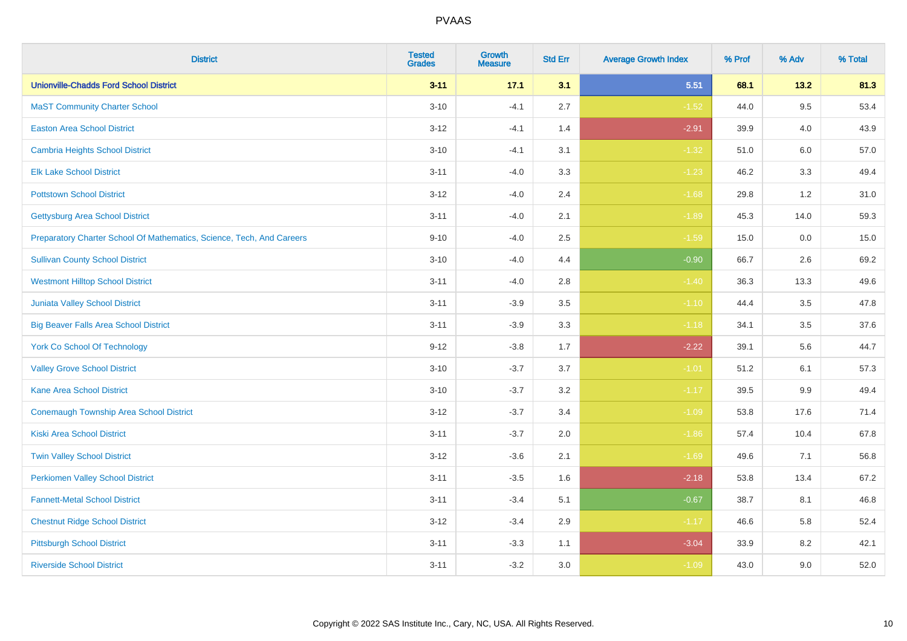| <b>District</b>                                                       | <b>Tested</b><br><b>Grades</b> | <b>Growth</b><br><b>Measure</b> | <b>Std Err</b> | <b>Average Growth Index</b> | % Prof | % Adv   | % Total |
|-----------------------------------------------------------------------|--------------------------------|---------------------------------|----------------|-----------------------------|--------|---------|---------|
| <b>Unionville-Chadds Ford School District</b>                         | $3 - 11$                       | 17.1                            | 3.1            | 5.51                        | 68.1   | 13.2    | 81.3    |
| <b>MaST Community Charter School</b>                                  | $3 - 10$                       | $-4.1$                          | 2.7            | $-1.52$                     | 44.0   | 9.5     | 53.4    |
| <b>Easton Area School District</b>                                    | $3 - 12$                       | $-4.1$                          | 1.4            | $-2.91$                     | 39.9   | 4.0     | 43.9    |
| <b>Cambria Heights School District</b>                                | $3 - 10$                       | $-4.1$                          | 3.1            | $-1.32$                     | 51.0   | $6.0\,$ | 57.0    |
| <b>Elk Lake School District</b>                                       | $3 - 11$                       | $-4.0$                          | 3.3            | $-1.23$                     | 46.2   | 3.3     | 49.4    |
| <b>Pottstown School District</b>                                      | $3 - 12$                       | $-4.0$                          | 2.4            | $-1.68$                     | 29.8   | 1.2     | 31.0    |
| <b>Gettysburg Area School District</b>                                | $3 - 11$                       | $-4.0$                          | 2.1            | $-1.89$                     | 45.3   | 14.0    | 59.3    |
| Preparatory Charter School Of Mathematics, Science, Tech, And Careers | $9 - 10$                       | $-4.0$                          | 2.5            | $-1.59$                     | 15.0   | 0.0     | 15.0    |
| <b>Sullivan County School District</b>                                | $3 - 10$                       | $-4.0$                          | 4.4            | $-0.90$                     | 66.7   | 2.6     | 69.2    |
| <b>Westmont Hilltop School District</b>                               | $3 - 11$                       | $-4.0$                          | 2.8            | $-1.40$                     | 36.3   | 13.3    | 49.6    |
| <b>Juniata Valley School District</b>                                 | $3 - 11$                       | $-3.9$                          | 3.5            | $-1.10$                     | 44.4   | 3.5     | 47.8    |
| <b>Big Beaver Falls Area School District</b>                          | $3 - 11$                       | $-3.9$                          | 3.3            | $-1.18$                     | 34.1   | 3.5     | 37.6    |
| <b>York Co School Of Technology</b>                                   | $9 - 12$                       | $-3.8$                          | 1.7            | $-2.22$                     | 39.1   | 5.6     | 44.7    |
| <b>Valley Grove School District</b>                                   | $3 - 10$                       | $-3.7$                          | 3.7            | $-1.01$                     | 51.2   | 6.1     | 57.3    |
| <b>Kane Area School District</b>                                      | $3 - 10$                       | $-3.7$                          | 3.2            | $-1.17$                     | 39.5   | 9.9     | 49.4    |
| <b>Conemaugh Township Area School District</b>                        | $3 - 12$                       | $-3.7$                          | 3.4            | $-1.09$                     | 53.8   | 17.6    | 71.4    |
| <b>Kiski Area School District</b>                                     | $3 - 11$                       | $-3.7$                          | 2.0            | $-1.86$                     | 57.4   | 10.4    | 67.8    |
| <b>Twin Valley School District</b>                                    | $3 - 12$                       | $-3.6$                          | 2.1            | $-1.69$                     | 49.6   | 7.1     | 56.8    |
| <b>Perkiomen Valley School District</b>                               | $3 - 11$                       | $-3.5$                          | 1.6            | $-2.18$                     | 53.8   | 13.4    | 67.2    |
| <b>Fannett-Metal School District</b>                                  | $3 - 11$                       | $-3.4$                          | 5.1            | $-0.67$                     | 38.7   | 8.1     | 46.8    |
| <b>Chestnut Ridge School District</b>                                 | $3 - 12$                       | $-3.4$                          | 2.9            | $-1.17$                     | 46.6   | 5.8     | 52.4    |
| <b>Pittsburgh School District</b>                                     | $3 - 11$                       | $-3.3$                          | 1.1            | $-3.04$                     | 33.9   | 8.2     | 42.1    |
| <b>Riverside School District</b>                                      | $3 - 11$                       | $-3.2$                          | 3.0            | $-1.09$                     | 43.0   | 9.0     | 52.0    |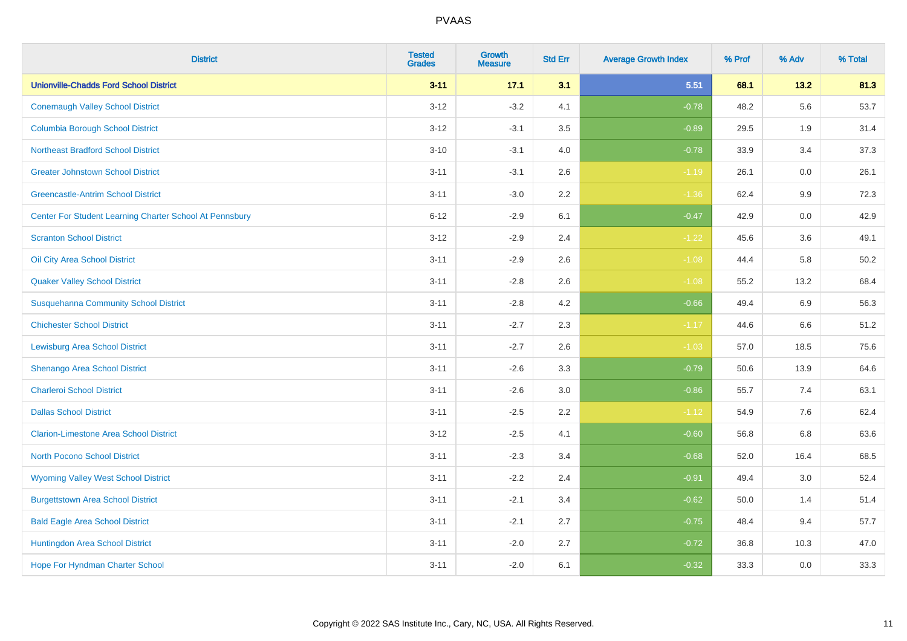| <b>District</b>                                         | <b>Tested</b><br><b>Grades</b> | <b>Growth</b><br><b>Measure</b> | <b>Std Err</b> | <b>Average Growth Index</b> | % Prof | % Adv   | % Total |
|---------------------------------------------------------|--------------------------------|---------------------------------|----------------|-----------------------------|--------|---------|---------|
| <b>Unionville-Chadds Ford School District</b>           | $3 - 11$                       | 17.1                            | 3.1            | 5.51                        | 68.1   | 13.2    | 81.3    |
| <b>Conemaugh Valley School District</b>                 | $3 - 12$                       | $-3.2$                          | 4.1            | $-0.78$                     | 48.2   | 5.6     | 53.7    |
| <b>Columbia Borough School District</b>                 | $3 - 12$                       | $-3.1$                          | 3.5            | $-0.89$                     | 29.5   | 1.9     | 31.4    |
| <b>Northeast Bradford School District</b>               | $3 - 10$                       | $-3.1$                          | 4.0            | $-0.78$                     | 33.9   | 3.4     | 37.3    |
| <b>Greater Johnstown School District</b>                | $3 - 11$                       | $-3.1$                          | 2.6            | $-1.19$                     | 26.1   | 0.0     | 26.1    |
| <b>Greencastle-Antrim School District</b>               | $3 - 11$                       | $-3.0$                          | 2.2            | $-1.36$                     | 62.4   | $9.9\,$ | 72.3    |
| Center For Student Learning Charter School At Pennsbury | $6 - 12$                       | $-2.9$                          | 6.1            | $-0.47$                     | 42.9   | 0.0     | 42.9    |
| <b>Scranton School District</b>                         | $3 - 12$                       | $-2.9$                          | 2.4            | $-1.22$                     | 45.6   | 3.6     | 49.1    |
| Oil City Area School District                           | $3 - 11$                       | $-2.9$                          | 2.6            | $-1.08$                     | 44.4   | 5.8     | 50.2    |
| <b>Quaker Valley School District</b>                    | $3 - 11$                       | $-2.8$                          | 2.6            | $-1.08$                     | 55.2   | 13.2    | 68.4    |
| <b>Susquehanna Community School District</b>            | $3 - 11$                       | $-2.8$                          | 4.2            | $-0.66$                     | 49.4   | 6.9     | 56.3    |
| <b>Chichester School District</b>                       | $3 - 11$                       | $-2.7$                          | 2.3            | $-1.17$                     | 44.6   | 6.6     | 51.2    |
| Lewisburg Area School District                          | $3 - 11$                       | $-2.7$                          | 2.6            | $-1.03$                     | 57.0   | 18.5    | 75.6    |
| Shenango Area School District                           | $3 - 11$                       | $-2.6$                          | 3.3            | $-0.79$                     | 50.6   | 13.9    | 64.6    |
| <b>Charleroi School District</b>                        | $3 - 11$                       | $-2.6$                          | 3.0            | $-0.86$                     | 55.7   | 7.4     | 63.1    |
| <b>Dallas School District</b>                           | $3 - 11$                       | $-2.5$                          | 2.2            | $-1.12$                     | 54.9   | 7.6     | 62.4    |
| <b>Clarion-Limestone Area School District</b>           | $3 - 12$                       | $-2.5$                          | 4.1            | $-0.60$                     | 56.8   | 6.8     | 63.6    |
| <b>North Pocono School District</b>                     | $3 - 11$                       | $-2.3$                          | 3.4            | $-0.68$                     | 52.0   | 16.4    | 68.5    |
| <b>Wyoming Valley West School District</b>              | $3 - 11$                       | $-2.2$                          | 2.4            | $-0.91$                     | 49.4   | 3.0     | 52.4    |
| <b>Burgettstown Area School District</b>                | $3 - 11$                       | $-2.1$                          | 3.4            | $-0.62$                     | 50.0   | 1.4     | 51.4    |
| <b>Bald Eagle Area School District</b>                  | $3 - 11$                       | $-2.1$                          | 2.7            | $-0.75$                     | 48.4   | 9.4     | 57.7    |
| Huntingdon Area School District                         | $3 - 11$                       | $-2.0$                          | 2.7            | $-0.72$                     | 36.8   | 10.3    | 47.0    |
| Hope For Hyndman Charter School                         | $3 - 11$                       | $-2.0$                          | 6.1            | $-0.32$                     | 33.3   | 0.0     | 33.3    |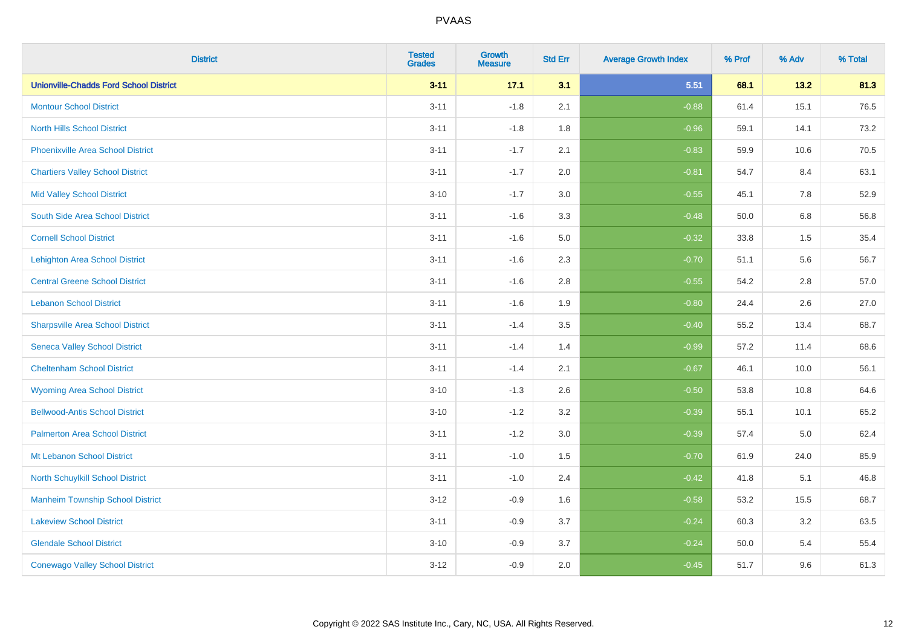| <b>District</b>                               | <b>Tested</b><br><b>Grades</b> | <b>Growth</b><br><b>Measure</b> | <b>Std Err</b> | <b>Average Growth Index</b> | % Prof | % Adv   | % Total |
|-----------------------------------------------|--------------------------------|---------------------------------|----------------|-----------------------------|--------|---------|---------|
| <b>Unionville-Chadds Ford School District</b> | $3 - 11$                       | 17.1                            | 3.1            | 5.51                        | 68.1   | 13.2    | 81.3    |
| <b>Montour School District</b>                | $3 - 11$                       | $-1.8$                          | 2.1            | $-0.88$                     | 61.4   | 15.1    | 76.5    |
| <b>North Hills School District</b>            | $3 - 11$                       | $-1.8$                          | 1.8            | $-0.96$                     | 59.1   | 14.1    | 73.2    |
| <b>Phoenixville Area School District</b>      | $3 - 11$                       | $-1.7$                          | 2.1            | $-0.83$                     | 59.9   | 10.6    | 70.5    |
| <b>Chartiers Valley School District</b>       | $3 - 11$                       | $-1.7$                          | 2.0            | $-0.81$                     | 54.7   | 8.4     | 63.1    |
| <b>Mid Valley School District</b>             | $3 - 10$                       | $-1.7$                          | 3.0            | $-0.55$                     | 45.1   | 7.8     | 52.9    |
| South Side Area School District               | $3 - 11$                       | $-1.6$                          | 3.3            | $-0.48$                     | 50.0   | 6.8     | 56.8    |
| <b>Cornell School District</b>                | $3 - 11$                       | $-1.6$                          | 5.0            | $-0.32$                     | 33.8   | $1.5\,$ | 35.4    |
| <b>Lehighton Area School District</b>         | $3 - 11$                       | $-1.6$                          | 2.3            | $-0.70$                     | 51.1   | 5.6     | 56.7    |
| <b>Central Greene School District</b>         | $3 - 11$                       | $-1.6$                          | $2.8\,$        | $-0.55$                     | 54.2   | $2.8\,$ | 57.0    |
| <b>Lebanon School District</b>                | $3 - 11$                       | $-1.6$                          | 1.9            | $-0.80$                     | 24.4   | 2.6     | 27.0    |
| <b>Sharpsville Area School District</b>       | $3 - 11$                       | $-1.4$                          | 3.5            | $-0.40$                     | 55.2   | 13.4    | 68.7    |
| <b>Seneca Valley School District</b>          | $3 - 11$                       | $-1.4$                          | 1.4            | $-0.99$                     | 57.2   | 11.4    | 68.6    |
| <b>Cheltenham School District</b>             | $3 - 11$                       | $-1.4$                          | 2.1            | $-0.67$                     | 46.1   | 10.0    | 56.1    |
| <b>Wyoming Area School District</b>           | $3 - 10$                       | $-1.3$                          | 2.6            | $-0.50$                     | 53.8   | 10.8    | 64.6    |
| <b>Bellwood-Antis School District</b>         | $3 - 10$                       | $-1.2$                          | 3.2            | $-0.39$                     | 55.1   | 10.1    | 65.2    |
| <b>Palmerton Area School District</b>         | $3 - 11$                       | $-1.2$                          | 3.0            | $-0.39$                     | 57.4   | $5.0\,$ | 62.4    |
| Mt Lebanon School District                    | $3 - 11$                       | $-1.0$                          | 1.5            | $-0.70$                     | 61.9   | 24.0    | 85.9    |
| <b>North Schuylkill School District</b>       | $3 - 11$                       | $-1.0$                          | 2.4            | $-0.42$                     | 41.8   | 5.1     | 46.8    |
| <b>Manheim Township School District</b>       | $3 - 12$                       | $-0.9$                          | 1.6            | $-0.58$                     | 53.2   | 15.5    | 68.7    |
| <b>Lakeview School District</b>               | $3 - 11$                       | $-0.9$                          | 3.7            | $-0.24$                     | 60.3   | 3.2     | 63.5    |
| <b>Glendale School District</b>               | $3 - 10$                       | $-0.9$                          | 3.7            | $-0.24$                     | 50.0   | 5.4     | 55.4    |
| <b>Conewago Valley School District</b>        | $3-12$                         | $-0.9$                          | 2.0            | $-0.45$                     | 51.7   | 9.6     | 61.3    |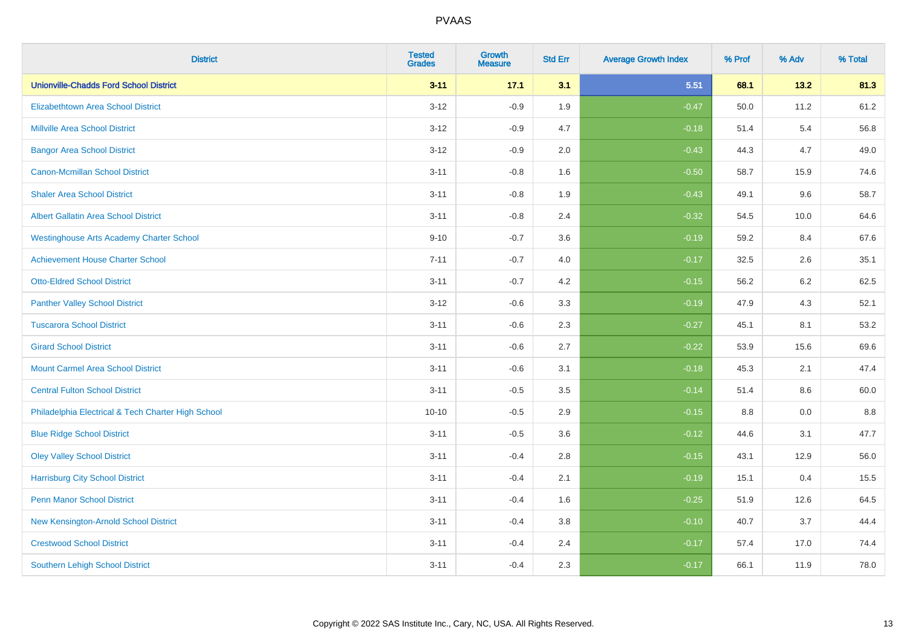| <b>District</b>                                    | <b>Tested</b><br><b>Grades</b> | Growth<br><b>Measure</b> | <b>Std Err</b> | <b>Average Growth Index</b> | % Prof | % Adv | % Total |
|----------------------------------------------------|--------------------------------|--------------------------|----------------|-----------------------------|--------|-------|---------|
| <b>Unionville-Chadds Ford School District</b>      | $3 - 11$                       | 17.1                     | 3.1            | 5.51                        | 68.1   | 13.2  | 81.3    |
| <b>Elizabethtown Area School District</b>          | $3 - 12$                       | $-0.9$                   | 1.9            | $-0.47$                     | 50.0   | 11.2  | 61.2    |
| <b>Millville Area School District</b>              | $3 - 12$                       | $-0.9$                   | 4.7            | $-0.18$                     | 51.4   | 5.4   | 56.8    |
| <b>Bangor Area School District</b>                 | $3 - 12$                       | $-0.9$                   | 2.0            | $-0.43$                     | 44.3   | 4.7   | 49.0    |
| <b>Canon-Mcmillan School District</b>              | $3 - 11$                       | $-0.8$                   | 1.6            | $-0.50$                     | 58.7   | 15.9  | 74.6    |
| <b>Shaler Area School District</b>                 | $3 - 11$                       | $-0.8$                   | 1.9            | $-0.43$                     | 49.1   | 9.6   | 58.7    |
| <b>Albert Gallatin Area School District</b>        | $3 - 11$                       | $-0.8$                   | 2.4            | $-0.32$                     | 54.5   | 10.0  | 64.6    |
| <b>Westinghouse Arts Academy Charter School</b>    | $9 - 10$                       | $-0.7$                   | 3.6            | $-0.19$                     | 59.2   | 8.4   | 67.6    |
| <b>Achievement House Charter School</b>            | $7 - 11$                       | $-0.7$                   | 4.0            | $-0.17$                     | 32.5   | 2.6   | 35.1    |
| <b>Otto-Eldred School District</b>                 | $3 - 11$                       | $-0.7$                   | 4.2            | $-0.15$                     | 56.2   | 6.2   | 62.5    |
| <b>Panther Valley School District</b>              | $3 - 12$                       | $-0.6$                   | 3.3            | $-0.19$                     | 47.9   | 4.3   | 52.1    |
| <b>Tuscarora School District</b>                   | $3 - 11$                       | $-0.6$                   | 2.3            | $-0.27$                     | 45.1   | 8.1   | 53.2    |
| <b>Girard School District</b>                      | $3 - 11$                       | $-0.6$                   | 2.7            | $-0.22$                     | 53.9   | 15.6  | 69.6    |
| <b>Mount Carmel Area School District</b>           | $3 - 11$                       | $-0.6$                   | 3.1            | $-0.18$                     | 45.3   | 2.1   | 47.4    |
| <b>Central Fulton School District</b>              | $3 - 11$                       | $-0.5$                   | 3.5            | $-0.14$                     | 51.4   | 8.6   | 60.0    |
| Philadelphia Electrical & Tech Charter High School | $10 - 10$                      | $-0.5$                   | 2.9            | $-0.15$                     | 8.8    | 0.0   | 8.8     |
| <b>Blue Ridge School District</b>                  | $3 - 11$                       | $-0.5$                   | 3.6            | $-0.12$                     | 44.6   | 3.1   | 47.7    |
| <b>Oley Valley School District</b>                 | $3 - 11$                       | $-0.4$                   | 2.8            | $-0.15$                     | 43.1   | 12.9  | 56.0    |
| <b>Harrisburg City School District</b>             | $3 - 11$                       | $-0.4$                   | 2.1            | $-0.19$                     | 15.1   | 0.4   | 15.5    |
| <b>Penn Manor School District</b>                  | $3 - 11$                       | $-0.4$                   | 1.6            | $-0.25$                     | 51.9   | 12.6  | 64.5    |
| New Kensington-Arnold School District              | $3 - 11$                       | $-0.4$                   | 3.8            | $-0.10$                     | 40.7   | 3.7   | 44.4    |
| <b>Crestwood School District</b>                   | $3 - 11$                       | $-0.4$                   | 2.4            | $-0.17$                     | 57.4   | 17.0  | 74.4    |
| <b>Southern Lehigh School District</b>             | $3 - 11$                       | $-0.4$                   | 2.3            | $-0.17$                     | 66.1   | 11.9  | 78.0    |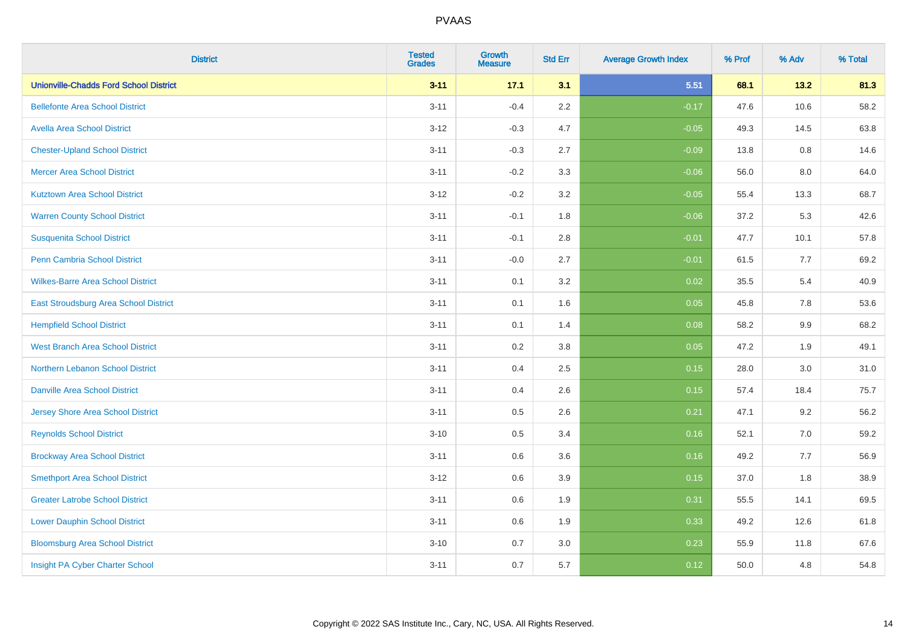| <b>District</b>                               | <b>Tested</b><br><b>Grades</b> | <b>Growth</b><br><b>Measure</b> | <b>Std Err</b> | <b>Average Growth Index</b> | % Prof | % Adv   | % Total |
|-----------------------------------------------|--------------------------------|---------------------------------|----------------|-----------------------------|--------|---------|---------|
| <b>Unionville-Chadds Ford School District</b> | $3 - 11$                       | 17.1                            | 3.1            | 5.51                        | 68.1   | 13.2    | 81.3    |
| <b>Bellefonte Area School District</b>        | $3 - 11$                       | $-0.4$                          | 2.2            | $-0.17$                     | 47.6   | 10.6    | 58.2    |
| <b>Avella Area School District</b>            | $3 - 12$                       | $-0.3$                          | 4.7            | $-0.05$                     | 49.3   | 14.5    | 63.8    |
| <b>Chester-Upland School District</b>         | $3 - 11$                       | $-0.3$                          | 2.7            | $-0.09$                     | 13.8   | $0.8\,$ | 14.6    |
| <b>Mercer Area School District</b>            | $3 - 11$                       | $-0.2$                          | 3.3            | $-0.06$                     | 56.0   | 8.0     | 64.0    |
| <b>Kutztown Area School District</b>          | $3-12$                         | $-0.2$                          | 3.2            | $-0.05$                     | 55.4   | 13.3    | 68.7    |
| <b>Warren County School District</b>          | $3 - 11$                       | $-0.1$                          | 1.8            | $-0.06$                     | 37.2   | 5.3     | 42.6    |
| <b>Susquenita School District</b>             | $3 - 11$                       | $-0.1$                          | 2.8            | $-0.01$                     | 47.7   | 10.1    | 57.8    |
| Penn Cambria School District                  | $3 - 11$                       | $-0.0$                          | 2.7            | $-0.01$                     | 61.5   | 7.7     | 69.2    |
| <b>Wilkes-Barre Area School District</b>      | $3 - 11$                       | 0.1                             | 3.2            | 0.02                        | 35.5   | 5.4     | 40.9    |
| East Stroudsburg Area School District         | $3 - 11$                       | 0.1                             | 1.6            | 0.05                        | 45.8   | 7.8     | 53.6    |
| <b>Hempfield School District</b>              | $3 - 11$                       | 0.1                             | 1.4            | 0.08                        | 58.2   | 9.9     | 68.2    |
| <b>West Branch Area School District</b>       | $3 - 11$                       | 0.2                             | 3.8            | 0.05                        | 47.2   | 1.9     | 49.1    |
| <b>Northern Lebanon School District</b>       | $3 - 11$                       | 0.4                             | 2.5            | 0.15                        | 28.0   | 3.0     | 31.0    |
| <b>Danville Area School District</b>          | $3 - 11$                       | 0.4                             | 2.6            | 0.15                        | 57.4   | 18.4    | 75.7    |
| <b>Jersey Shore Area School District</b>      | $3 - 11$                       | 0.5                             | 2.6            | 0.21                        | 47.1   | 9.2     | 56.2    |
| <b>Reynolds School District</b>               | $3 - 10$                       | 0.5                             | 3.4            | 0.16                        | 52.1   | 7.0     | 59.2    |
| <b>Brockway Area School District</b>          | $3 - 11$                       | 0.6                             | 3.6            | 0.16                        | 49.2   | 7.7     | 56.9    |
| <b>Smethport Area School District</b>         | $3 - 12$                       | 0.6                             | 3.9            | 0.15                        | 37.0   | 1.8     | 38.9    |
| <b>Greater Latrobe School District</b>        | $3 - 11$                       | 0.6                             | 1.9            | 0.31                        | 55.5   | 14.1    | 69.5    |
| <b>Lower Dauphin School District</b>          | $3 - 11$                       | 0.6                             | 1.9            | 0.33                        | 49.2   | 12.6    | 61.8    |
| <b>Bloomsburg Area School District</b>        | $3 - 10$                       | 0.7                             | 3.0            | 0.23                        | 55.9   | 11.8    | 67.6    |
| Insight PA Cyber Charter School               | $3 - 11$                       | 0.7                             | 5.7            | 0.12                        | 50.0   | 4.8     | 54.8    |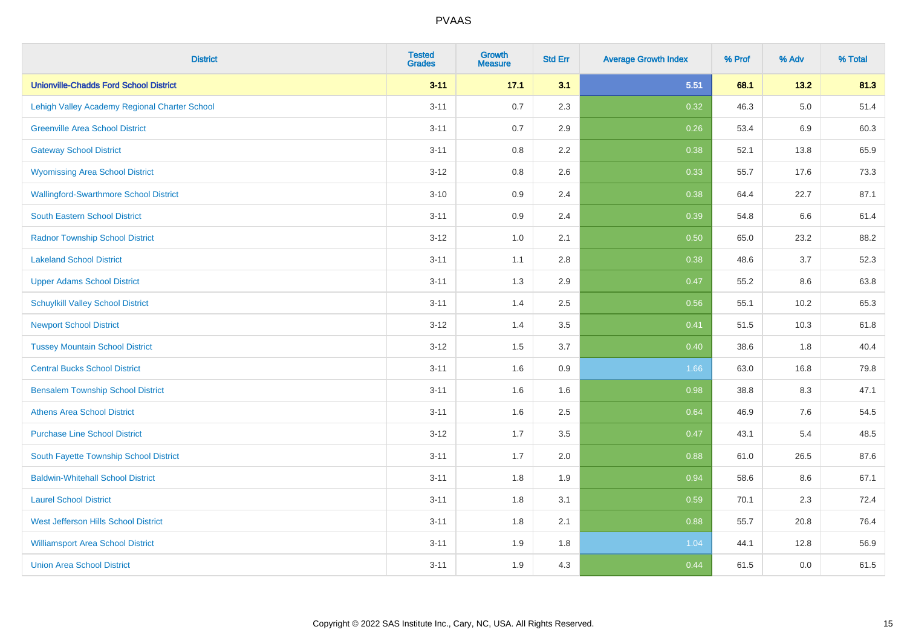| <b>District</b>                               | <b>Tested</b><br><b>Grades</b> | Growth<br><b>Measure</b> | <b>Std Err</b> | <b>Average Growth Index</b> | % Prof | % Adv   | % Total |
|-----------------------------------------------|--------------------------------|--------------------------|----------------|-----------------------------|--------|---------|---------|
| <b>Unionville-Chadds Ford School District</b> | $3 - 11$                       | 17.1                     | 3.1            | 5.51                        | 68.1   | 13.2    | 81.3    |
| Lehigh Valley Academy Regional Charter School | $3 - 11$                       | 0.7                      | 2.3            | 0.32                        | 46.3   | $5.0\,$ | 51.4    |
| <b>Greenville Area School District</b>        | $3 - 11$                       | 0.7                      | 2.9            | 0.26                        | 53.4   | $6.9\,$ | 60.3    |
| <b>Gateway School District</b>                | $3 - 11$                       | 0.8                      | 2.2            | 0.38                        | 52.1   | 13.8    | 65.9    |
| <b>Wyomissing Area School District</b>        | $3 - 12$                       | 0.8                      | 2.6            | 0.33                        | 55.7   | 17.6    | 73.3    |
| <b>Wallingford-Swarthmore School District</b> | $3 - 10$                       | 0.9                      | 2.4            | 0.38                        | 64.4   | 22.7    | 87.1    |
| <b>South Eastern School District</b>          | $3 - 11$                       | 0.9                      | 2.4            | 0.39                        | 54.8   | 6.6     | 61.4    |
| <b>Radnor Township School District</b>        | $3 - 12$                       | 1.0                      | 2.1            | 0.50                        | 65.0   | 23.2    | 88.2    |
| <b>Lakeland School District</b>               | $3 - 11$                       | 1.1                      | 2.8            | 0.38                        | 48.6   | 3.7     | 52.3    |
| <b>Upper Adams School District</b>            | $3 - 11$                       | 1.3                      | 2.9            | 0.47                        | 55.2   | 8.6     | 63.8    |
| <b>Schuylkill Valley School District</b>      | $3 - 11$                       | 1.4                      | 2.5            | 0.56                        | 55.1   | 10.2    | 65.3    |
| <b>Newport School District</b>                | $3 - 12$                       | 1.4                      | 3.5            | 0.41                        | 51.5   | 10.3    | 61.8    |
| <b>Tussey Mountain School District</b>        | $3 - 12$                       | 1.5                      | 3.7            | 0.40                        | 38.6   | 1.8     | 40.4    |
| <b>Central Bucks School District</b>          | $3 - 11$                       | 1.6                      | 0.9            | 1.66                        | 63.0   | 16.8    | 79.8    |
| <b>Bensalem Township School District</b>      | $3 - 11$                       | 1.6                      | 1.6            | 0.98                        | 38.8   | 8.3     | 47.1    |
| <b>Athens Area School District</b>            | $3 - 11$                       | 1.6                      | 2.5            | 0.64                        | 46.9   | $7.6\,$ | 54.5    |
| <b>Purchase Line School District</b>          | $3 - 12$                       | 1.7                      | 3.5            | 0.47                        | 43.1   | 5.4     | 48.5    |
| South Fayette Township School District        | $3 - 11$                       | 1.7                      | 2.0            | 0.88                        | 61.0   | 26.5    | 87.6    |
| <b>Baldwin-Whitehall School District</b>      | $3 - 11$                       | 1.8                      | 1.9            | 0.94                        | 58.6   | 8.6     | 67.1    |
| <b>Laurel School District</b>                 | $3 - 11$                       | 1.8                      | 3.1            | 0.59                        | 70.1   | 2.3     | 72.4    |
| <b>West Jefferson Hills School District</b>   | $3 - 11$                       | 1.8                      | 2.1            | 0.88                        | 55.7   | 20.8    | 76.4    |
| <b>Williamsport Area School District</b>      | $3 - 11$                       | 1.9                      | 1.8            | 1.04                        | 44.1   | 12.8    | 56.9    |
| <b>Union Area School District</b>             | $3 - 11$                       | 1.9                      | 4.3            | 0.44                        | 61.5   | 0.0     | 61.5    |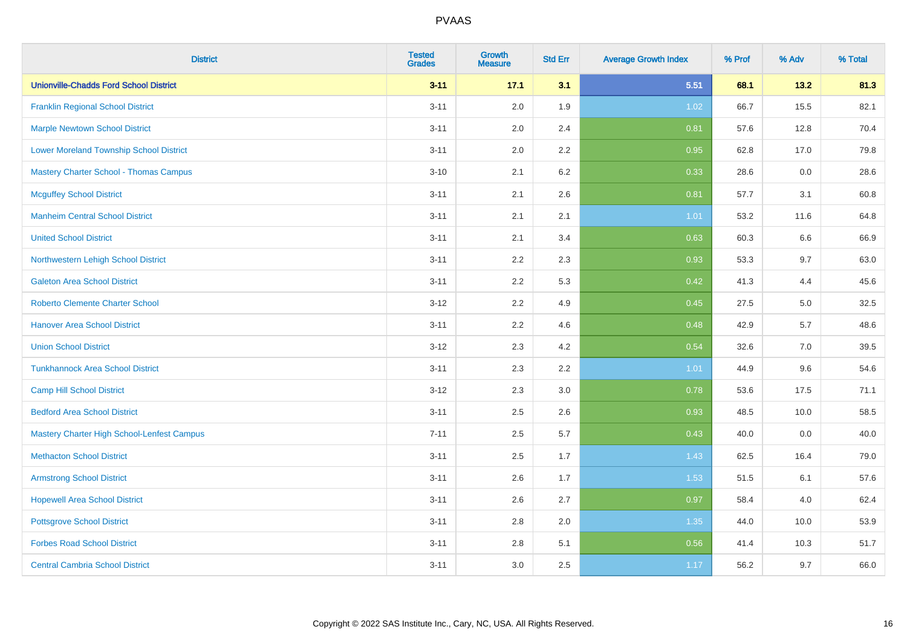| <b>District</b>                                | <b>Tested</b><br><b>Grades</b> | <b>Growth</b><br><b>Measure</b> | <b>Std Err</b> | <b>Average Growth Index</b> | % Prof | % Adv | % Total |
|------------------------------------------------|--------------------------------|---------------------------------|----------------|-----------------------------|--------|-------|---------|
| <b>Unionville-Chadds Ford School District</b>  | $3 - 11$                       | 17.1                            | 3.1            | 5.51                        | 68.1   | 13.2  | 81.3    |
| <b>Franklin Regional School District</b>       | $3 - 11$                       | 2.0                             | 1.9            | 1.02                        | 66.7   | 15.5  | 82.1    |
| <b>Marple Newtown School District</b>          | $3 - 11$                       | 2.0                             | 2.4            | 0.81                        | 57.6   | 12.8  | 70.4    |
| <b>Lower Moreland Township School District</b> | $3 - 11$                       | 2.0                             | 2.2            | 0.95                        | 62.8   | 17.0  | 79.8    |
| <b>Mastery Charter School - Thomas Campus</b>  | $3 - 10$                       | 2.1                             | 6.2            | 0.33                        | 28.6   | 0.0   | 28.6    |
| <b>Mcguffey School District</b>                | $3 - 11$                       | 2.1                             | 2.6            | 0.81                        | 57.7   | 3.1   | 60.8    |
| <b>Manheim Central School District</b>         | $3 - 11$                       | 2.1                             | 2.1            | 1.01                        | 53.2   | 11.6  | 64.8    |
| <b>United School District</b>                  | $3 - 11$                       | 2.1                             | 3.4            | 0.63                        | 60.3   | 6.6   | 66.9    |
| Northwestern Lehigh School District            | $3 - 11$                       | 2.2                             | 2.3            | 0.93                        | 53.3   | 9.7   | 63.0    |
| <b>Galeton Area School District</b>            | $3 - 11$                       | 2.2                             | 5.3            | 0.42                        | 41.3   | 4.4   | 45.6    |
| <b>Roberto Clemente Charter School</b>         | $3 - 12$                       | 2.2                             | 4.9            | 0.45                        | 27.5   | 5.0   | 32.5    |
| <b>Hanover Area School District</b>            | $3 - 11$                       | 2.2                             | 4.6            | 0.48                        | 42.9   | 5.7   | 48.6    |
| <b>Union School District</b>                   | $3 - 12$                       | 2.3                             | 4.2            | 0.54                        | 32.6   | 7.0   | 39.5    |
| <b>Tunkhannock Area School District</b>        | $3 - 11$                       | 2.3                             | 2.2            | 1.01                        | 44.9   | 9.6   | 54.6    |
| <b>Camp Hill School District</b>               | $3 - 12$                       | 2.3                             | 3.0            | 0.78                        | 53.6   | 17.5  | 71.1    |
| <b>Bedford Area School District</b>            | $3 - 11$                       | 2.5                             | 2.6            | 0.93                        | 48.5   | 10.0  | 58.5    |
| Mastery Charter High School-Lenfest Campus     | $7 - 11$                       | 2.5                             | 5.7            | 0.43                        | 40.0   | 0.0   | 40.0    |
| <b>Methacton School District</b>               | $3 - 11$                       | 2.5                             | 1.7            | 1.43                        | 62.5   | 16.4  | 79.0    |
| <b>Armstrong School District</b>               | $3 - 11$                       | 2.6                             | 1.7            | 1.53                        | 51.5   | 6.1   | 57.6    |
| <b>Hopewell Area School District</b>           | $3 - 11$                       | 2.6                             | 2.7            | 0.97                        | 58.4   | 4.0   | 62.4    |
| <b>Pottsgrove School District</b>              | $3 - 11$                       | 2.8                             | 2.0            | 1.35                        | 44.0   | 10.0  | 53.9    |
| <b>Forbes Road School District</b>             | $3 - 11$                       | 2.8                             | 5.1            | 0.56                        | 41.4   | 10.3  | 51.7    |
| <b>Central Cambria School District</b>         | $3 - 11$                       | 3.0                             | 2.5            | 1.17                        | 56.2   | 9.7   | 66.0    |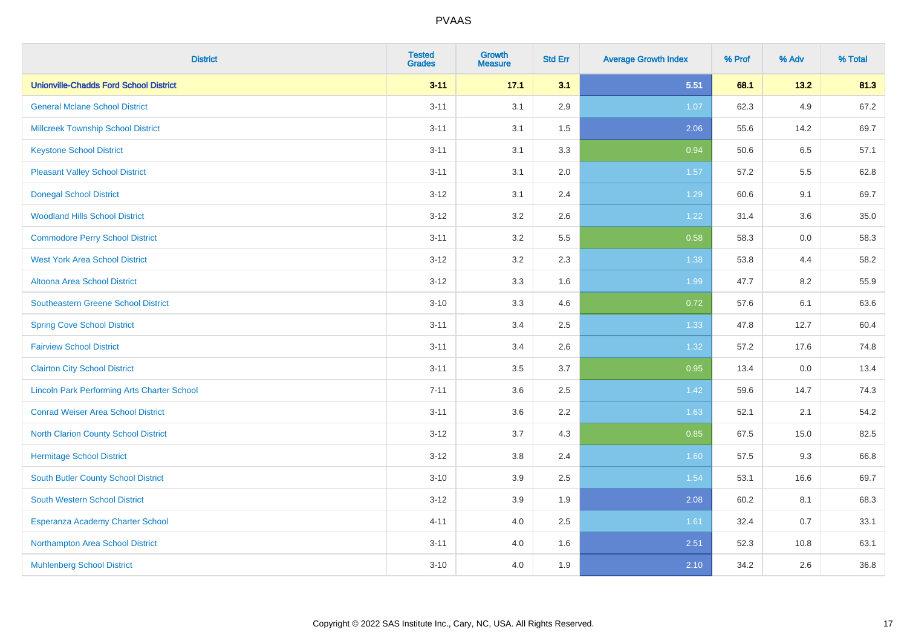| <b>District</b>                                    | <b>Tested</b><br><b>Grades</b> | Growth<br><b>Measure</b> | <b>Std Err</b> | <b>Average Growth Index</b> | % Prof | % Adv | % Total |
|----------------------------------------------------|--------------------------------|--------------------------|----------------|-----------------------------|--------|-------|---------|
| <b>Unionville-Chadds Ford School District</b>      | $3 - 11$                       | 17.1                     | 3.1            | 5.51                        | 68.1   | 13.2  | 81.3    |
| <b>General Mclane School District</b>              | $3 - 11$                       | 3.1                      | 2.9            | 1.07                        | 62.3   | 4.9   | 67.2    |
| <b>Millcreek Township School District</b>          | $3 - 11$                       | 3.1                      | 1.5            | 2.06                        | 55.6   | 14.2  | 69.7    |
| <b>Keystone School District</b>                    | $3 - 11$                       | 3.1                      | 3.3            | 0.94                        | 50.6   | 6.5   | 57.1    |
| <b>Pleasant Valley School District</b>             | $3 - 11$                       | 3.1                      | 2.0            | 1.57                        | 57.2   | 5.5   | 62.8    |
| <b>Donegal School District</b>                     | $3 - 12$                       | 3.1                      | 2.4            | 1.29                        | 60.6   | 9.1   | 69.7    |
| <b>Woodland Hills School District</b>              | $3 - 12$                       | 3.2                      | 2.6            | 1.22                        | 31.4   | 3.6   | 35.0    |
| <b>Commodore Perry School District</b>             | $3 - 11$                       | 3.2                      | 5.5            | 0.58                        | 58.3   | 0.0   | 58.3    |
| <b>West York Area School District</b>              | $3 - 12$                       | 3.2                      | 2.3            | 1.38                        | 53.8   | 4.4   | 58.2    |
| <b>Altoona Area School District</b>                | $3 - 12$                       | 3.3                      | 1.6            | 1.99                        | 47.7   | 8.2   | 55.9    |
| <b>Southeastern Greene School District</b>         | $3 - 10$                       | 3.3                      | 4.6            | 0.72                        | 57.6   | 6.1   | 63.6    |
| <b>Spring Cove School District</b>                 | $3 - 11$                       | 3.4                      | 2.5            | 1.33                        | 47.8   | 12.7  | 60.4    |
| <b>Fairview School District</b>                    | $3 - 11$                       | 3.4                      | 2.6            | 1.32                        | 57.2   | 17.6  | 74.8    |
| <b>Clairton City School District</b>               | $3 - 11$                       | 3.5                      | 3.7            | 0.95                        | 13.4   | 0.0   | 13.4    |
| <b>Lincoln Park Performing Arts Charter School</b> | $7 - 11$                       | 3.6                      | 2.5            | 1.42                        | 59.6   | 14.7  | 74.3    |
| <b>Conrad Weiser Area School District</b>          | $3 - 11$                       | 3.6                      | 2.2            | 1.63                        | 52.1   | 2.1   | 54.2    |
| <b>North Clarion County School District</b>        | $3 - 12$                       | 3.7                      | 4.3            | 0.85                        | 67.5   | 15.0  | 82.5    |
| <b>Hermitage School District</b>                   | $3 - 12$                       | $3.8\,$                  | 2.4            | 1.60                        | 57.5   | 9.3   | 66.8    |
| <b>South Butler County School District</b>         | $3 - 10$                       | 3.9                      | 2.5            | 1.54                        | 53.1   | 16.6  | 69.7    |
| South Western School District                      | $3 - 12$                       | 3.9                      | 1.9            | 2.08                        | 60.2   | 8.1   | 68.3    |
| Esperanza Academy Charter School                   | $4 - 11$                       | 4.0                      | 2.5            | 1.61                        | 32.4   | 0.7   | 33.1    |
| Northampton Area School District                   | $3 - 11$                       | 4.0                      | 1.6            | 2.51                        | 52.3   | 10.8  | 63.1    |
| <b>Muhlenberg School District</b>                  | $3 - 10$                       | 4.0                      | 1.9            | 2.10                        | 34.2   | 2.6   | 36.8    |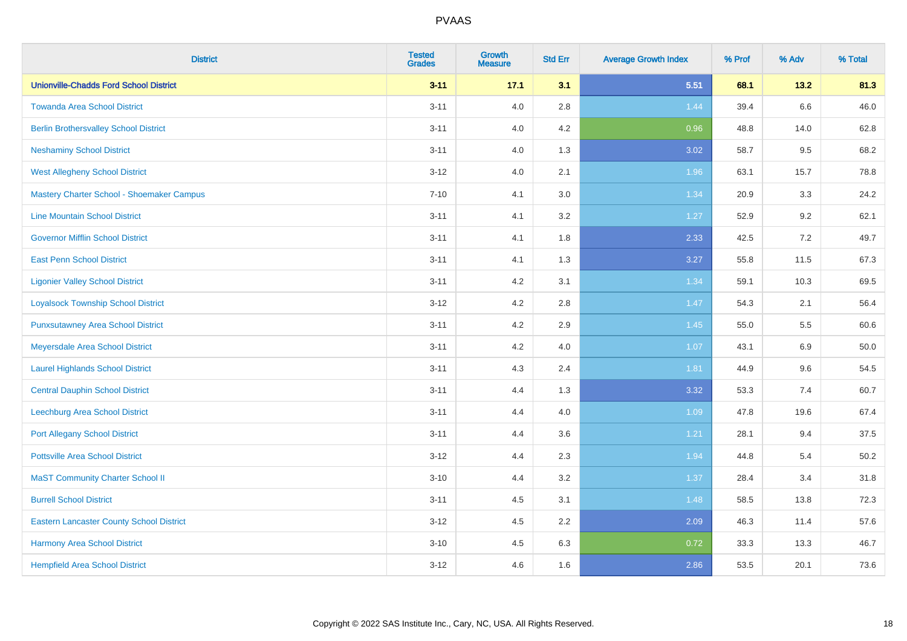| <b>District</b>                                 | <b>Tested</b><br><b>Grades</b> | Growth<br><b>Measure</b> | <b>Std Err</b> | <b>Average Growth Index</b> | % Prof | % Adv   | % Total |
|-------------------------------------------------|--------------------------------|--------------------------|----------------|-----------------------------|--------|---------|---------|
| <b>Unionville-Chadds Ford School District</b>   | $3 - 11$                       | 17.1                     | 3.1            | 5.51                        | 68.1   | 13.2    | 81.3    |
| <b>Towanda Area School District</b>             | $3 - 11$                       | 4.0                      | 2.8            | 1.44                        | 39.4   | $6.6\,$ | 46.0    |
| <b>Berlin Brothersvalley School District</b>    | $3 - 11$                       | 4.0                      | 4.2            | 0.96                        | 48.8   | 14.0    | 62.8    |
| <b>Neshaminy School District</b>                | $3 - 11$                       | 4.0                      | 1.3            | 3.02                        | 58.7   | 9.5     | 68.2    |
| <b>West Allegheny School District</b>           | $3 - 12$                       | 4.0                      | 2.1            | 1.96                        | 63.1   | 15.7    | 78.8    |
| Mastery Charter School - Shoemaker Campus       | $7 - 10$                       | 4.1                      | 3.0            | 1.34                        | 20.9   | 3.3     | 24.2    |
| <b>Line Mountain School District</b>            | $3 - 11$                       | 4.1                      | 3.2            | 1.27                        | 52.9   | 9.2     | 62.1    |
| <b>Governor Mifflin School District</b>         | $3 - 11$                       | 4.1                      | 1.8            | 2.33                        | 42.5   | 7.2     | 49.7    |
| <b>East Penn School District</b>                | $3 - 11$                       | 4.1                      | 1.3            | 3.27                        | 55.8   | 11.5    | 67.3    |
| <b>Ligonier Valley School District</b>          | $3 - 11$                       | 4.2                      | 3.1            | 1.34                        | 59.1   | 10.3    | 69.5    |
| <b>Loyalsock Township School District</b>       | $3 - 12$                       | 4.2                      | 2.8            | $1.47$                      | 54.3   | 2.1     | 56.4    |
| <b>Punxsutawney Area School District</b>        | $3 - 11$                       | 4.2                      | 2.9            | 1.45                        | 55.0   | 5.5     | 60.6    |
| Meyersdale Area School District                 | $3 - 11$                       | 4.2                      | 4.0            | 1.07                        | 43.1   | 6.9     | 50.0    |
| <b>Laurel Highlands School District</b>         | $3 - 11$                       | 4.3                      | 2.4            | 1.81                        | 44.9   | 9.6     | 54.5    |
| <b>Central Dauphin School District</b>          | $3 - 11$                       | 4.4                      | 1.3            | 3.32                        | 53.3   | 7.4     | 60.7    |
| Leechburg Area School District                  | $3 - 11$                       | 4.4                      | 4.0            | 1.09                        | 47.8   | 19.6    | 67.4    |
| <b>Port Allegany School District</b>            | $3 - 11$                       | 4.4                      | 3.6            | 1.21                        | 28.1   | 9.4     | 37.5    |
| <b>Pottsville Area School District</b>          | $3 - 12$                       | 4.4                      | 2.3            | 1.94                        | 44.8   | 5.4     | 50.2    |
| <b>MaST Community Charter School II</b>         | $3 - 10$                       | 4.4                      | 3.2            | 1.37                        | 28.4   | 3.4     | 31.8    |
| <b>Burrell School District</b>                  | $3 - 11$                       | 4.5                      | 3.1            | 1.48                        | 58.5   | 13.8    | 72.3    |
| <b>Eastern Lancaster County School District</b> | $3 - 12$                       | 4.5                      | 2.2            | 2.09                        | 46.3   | 11.4    | 57.6    |
| Harmony Area School District                    | $3 - 10$                       | 4.5                      | 6.3            | 0.72                        | 33.3   | 13.3    | 46.7    |
| <b>Hempfield Area School District</b>           | $3 - 12$                       | 4.6                      | 1.6            | 2.86                        | 53.5   | 20.1    | 73.6    |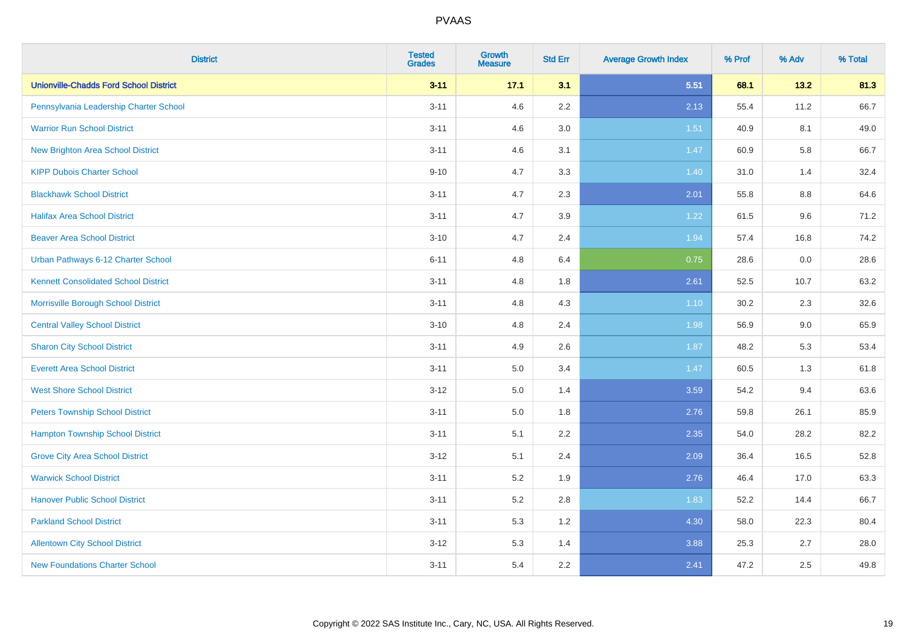| <b>District</b>                               | <b>Tested</b><br><b>Grades</b> | <b>Growth</b><br><b>Measure</b> | <b>Std Err</b> | <b>Average Growth Index</b> | % Prof | % Adv   | % Total |
|-----------------------------------------------|--------------------------------|---------------------------------|----------------|-----------------------------|--------|---------|---------|
| <b>Unionville-Chadds Ford School District</b> | $3 - 11$                       | 17.1                            | 3.1            | 5.51                        | 68.1   | 13.2    | 81.3    |
| Pennsylvania Leadership Charter School        | $3 - 11$                       | 4.6                             | $2.2\,$        | 2.13                        | 55.4   | 11.2    | 66.7    |
| <b>Warrior Run School District</b>            | $3 - 11$                       | 4.6                             | 3.0            | 1.51                        | 40.9   | 8.1     | 49.0    |
| <b>New Brighton Area School District</b>      | $3 - 11$                       | 4.6                             | 3.1            | 1.47                        | 60.9   | 5.8     | 66.7    |
| <b>KIPP Dubois Charter School</b>             | $9 - 10$                       | 4.7                             | 3.3            | 1.40                        | 31.0   | 1.4     | 32.4    |
| <b>Blackhawk School District</b>              | $3 - 11$                       | 4.7                             | 2.3            | 2.01                        | 55.8   | $8.8\,$ | 64.6    |
| <b>Halifax Area School District</b>           | $3 - 11$                       | 4.7                             | 3.9            | 1.22                        | 61.5   | 9.6     | 71.2    |
| <b>Beaver Area School District</b>            | $3 - 10$                       | 4.7                             | 2.4            | 1.94                        | 57.4   | 16.8    | 74.2    |
| Urban Pathways 6-12 Charter School            | $6 - 11$                       | 4.8                             | 6.4            | 0.75                        | 28.6   | 0.0     | 28.6    |
| <b>Kennett Consolidated School District</b>   | $3 - 11$                       | 4.8                             | 1.8            | 2.61                        | 52.5   | 10.7    | 63.2    |
| Morrisville Borough School District           | $3 - 11$                       | 4.8                             | 4.3            | $1.10$                      | 30.2   | 2.3     | 32.6    |
| <b>Central Valley School District</b>         | $3 - 10$                       | 4.8                             | 2.4            | 1.98                        | 56.9   | 9.0     | 65.9    |
| <b>Sharon City School District</b>            | $3 - 11$                       | 4.9                             | 2.6            | 1.87                        | 48.2   | 5.3     | 53.4    |
| <b>Everett Area School District</b>           | $3 - 11$                       | 5.0                             | 3.4            | 1.47                        | 60.5   | 1.3     | 61.8    |
| <b>West Shore School District</b>             | $3 - 12$                       | 5.0                             | 1.4            | 3.59                        | 54.2   | 9.4     | 63.6    |
| <b>Peters Township School District</b>        | $3 - 11$                       | 5.0                             | 1.8            | 2.76                        | 59.8   | 26.1    | 85.9    |
| <b>Hampton Township School District</b>       | $3 - 11$                       | 5.1                             | 2.2            | 2.35                        | 54.0   | 28.2    | 82.2    |
| <b>Grove City Area School District</b>        | $3 - 12$                       | 5.1                             | 2.4            | 2.09                        | 36.4   | 16.5    | 52.8    |
| <b>Warwick School District</b>                | $3 - 11$                       | 5.2                             | 1.9            | 2.76                        | 46.4   | 17.0    | 63.3    |
| <b>Hanover Public School District</b>         | $3 - 11$                       | 5.2                             | 2.8            | 1.83                        | 52.2   | 14.4    | 66.7    |
| <b>Parkland School District</b>               | $3 - 11$                       | 5.3                             | 1.2            | 4.30                        | 58.0   | 22.3    | 80.4    |
| <b>Allentown City School District</b>         | $3 - 12$                       | 5.3                             | 1.4            | 3.88                        | 25.3   | 2.7     | 28.0    |
| <b>New Foundations Charter School</b>         | $3 - 11$                       | 5.4                             | 2.2            | 2.41                        | 47.2   | 2.5     | 49.8    |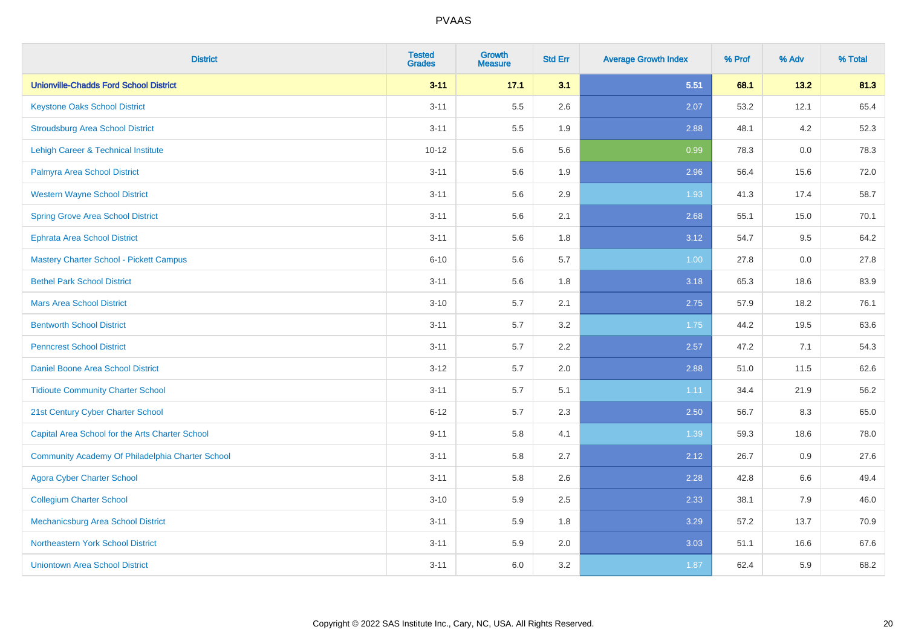| <b>District</b>                                  | <b>Tested</b><br><b>Grades</b> | <b>Growth</b><br><b>Measure</b> | <b>Std Err</b> | <b>Average Growth Index</b> | % Prof | % Adv | % Total |
|--------------------------------------------------|--------------------------------|---------------------------------|----------------|-----------------------------|--------|-------|---------|
| <b>Unionville-Chadds Ford School District</b>    | $3 - 11$                       | 17.1                            | 3.1            | 5.51                        | 68.1   | 13.2  | 81.3    |
| <b>Keystone Oaks School District</b>             | $3 - 11$                       | 5.5                             | 2.6            | 2.07                        | 53.2   | 12.1  | 65.4    |
| <b>Stroudsburg Area School District</b>          | $3 - 11$                       | 5.5                             | 1.9            | 2.88                        | 48.1   | 4.2   | 52.3    |
| Lehigh Career & Technical Institute              | $10 - 12$                      | 5.6                             | 5.6            | 0.99                        | 78.3   | 0.0   | 78.3    |
| Palmyra Area School District                     | $3 - 11$                       | 5.6                             | 1.9            | 2.96                        | 56.4   | 15.6  | 72.0    |
| <b>Western Wayne School District</b>             | $3 - 11$                       | 5.6                             | 2.9            | 1.93                        | 41.3   | 17.4  | 58.7    |
| <b>Spring Grove Area School District</b>         | $3 - 11$                       | 5.6                             | 2.1            | 2.68                        | 55.1   | 15.0  | 70.1    |
| <b>Ephrata Area School District</b>              | $3 - 11$                       | 5.6                             | 1.8            | 3.12                        | 54.7   | 9.5   | 64.2    |
| <b>Mastery Charter School - Pickett Campus</b>   | $6 - 10$                       | 5.6                             | 5.7            | 1.00                        | 27.8   | 0.0   | 27.8    |
| <b>Bethel Park School District</b>               | $3 - 11$                       | 5.6                             | 1.8            | 3.18                        | 65.3   | 18.6  | 83.9    |
| <b>Mars Area School District</b>                 | $3 - 10$                       | 5.7                             | 2.1            | 2.75                        | 57.9   | 18.2  | 76.1    |
| <b>Bentworth School District</b>                 | $3 - 11$                       | 5.7                             | 3.2            | 1.75                        | 44.2   | 19.5  | 63.6    |
| <b>Penncrest School District</b>                 | $3 - 11$                       | 5.7                             | 2.2            | 2.57                        | 47.2   | 7.1   | 54.3    |
| <b>Daniel Boone Area School District</b>         | $3 - 12$                       | 5.7                             | 2.0            | 2.88                        | 51.0   | 11.5  | 62.6    |
| <b>Tidioute Community Charter School</b>         | $3 - 11$                       | 5.7                             | 5.1            | 1.11                        | 34.4   | 21.9  | 56.2    |
| 21st Century Cyber Charter School                | $6 - 12$                       | 5.7                             | 2.3            | 2.50                        | 56.7   | 8.3   | 65.0    |
| Capital Area School for the Arts Charter School  | $9 - 11$                       | 5.8                             | 4.1            | 1.39                        | 59.3   | 18.6  | 78.0    |
| Community Academy Of Philadelphia Charter School | $3 - 11$                       | 5.8                             | 2.7            | 2.12                        | 26.7   | 0.9   | 27.6    |
| <b>Agora Cyber Charter School</b>                | $3 - 11$                       | 5.8                             | 2.6            | 2.28                        | 42.8   | 6.6   | 49.4    |
| <b>Collegium Charter School</b>                  | $3 - 10$                       | 5.9                             | 2.5            | 2.33                        | 38.1   | 7.9   | 46.0    |
| <b>Mechanicsburg Area School District</b>        | $3 - 11$                       | 5.9                             | 1.8            | 3.29                        | 57.2   | 13.7  | 70.9    |
| Northeastern York School District                | $3 - 11$                       | 5.9                             | 2.0            | 3.03                        | 51.1   | 16.6  | 67.6    |
| <b>Uniontown Area School District</b>            | $3 - 11$                       | 6.0                             | 3.2            | 1.87                        | 62.4   | 5.9   | 68.2    |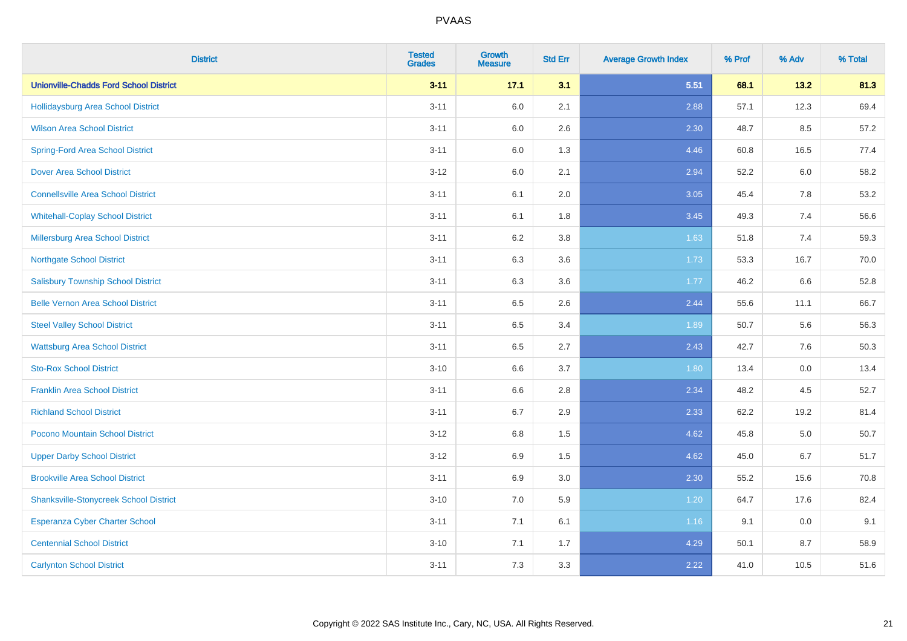| <b>District</b>                               | <b>Tested</b><br><b>Grades</b> | <b>Growth</b><br><b>Measure</b> | <b>Std Err</b> | <b>Average Growth Index</b> | % Prof | % Adv   | % Total |
|-----------------------------------------------|--------------------------------|---------------------------------|----------------|-----------------------------|--------|---------|---------|
| <b>Unionville-Chadds Ford School District</b> | $3 - 11$                       | 17.1                            | 3.1            | 5.51                        | 68.1   | 13.2    | 81.3    |
| Hollidaysburg Area School District            | $3 - 11$                       | 6.0                             | 2.1            | 2.88                        | 57.1   | 12.3    | 69.4    |
| <b>Wilson Area School District</b>            | $3 - 11$                       | 6.0                             | 2.6            | 2.30                        | 48.7   | $8.5\,$ | 57.2    |
| <b>Spring-Ford Area School District</b>       | $3 - 11$                       | 6.0                             | 1.3            | 4.46                        | 60.8   | 16.5    | 77.4    |
| <b>Dover Area School District</b>             | $3 - 12$                       | 6.0                             | 2.1            | 2.94                        | 52.2   | 6.0     | 58.2    |
| <b>Connellsville Area School District</b>     | $3 - 11$                       | 6.1                             | 2.0            | 3.05                        | 45.4   | 7.8     | 53.2    |
| <b>Whitehall-Coplay School District</b>       | $3 - 11$                       | 6.1                             | 1.8            | 3.45                        | 49.3   | 7.4     | 56.6    |
| Millersburg Area School District              | $3 - 11$                       | 6.2                             | 3.8            | 1.63                        | 51.8   | 7.4     | 59.3    |
| <b>Northgate School District</b>              | $3 - 11$                       | 6.3                             | 3.6            | 1.73                        | 53.3   | 16.7    | 70.0    |
| <b>Salisbury Township School District</b>     | $3 - 11$                       | 6.3                             | 3.6            | 1.77                        | 46.2   | 6.6     | 52.8    |
| <b>Belle Vernon Area School District</b>      | $3 - 11$                       | 6.5                             | 2.6            | 2.44                        | 55.6   | 11.1    | 66.7    |
| <b>Steel Valley School District</b>           | $3 - 11$                       | 6.5                             | 3.4            | 1.89                        | 50.7   | 5.6     | 56.3    |
| <b>Wattsburg Area School District</b>         | $3 - 11$                       | 6.5                             | 2.7            | 2.43                        | 42.7   | 7.6     | 50.3    |
| <b>Sto-Rox School District</b>                | $3 - 10$                       | 6.6                             | 3.7            | 1.80                        | 13.4   | $0.0\,$ | 13.4    |
| <b>Franklin Area School District</b>          | $3 - 11$                       | 6.6                             | 2.8            | 2.34                        | 48.2   | 4.5     | 52.7    |
| <b>Richland School District</b>               | $3 - 11$                       | 6.7                             | 2.9            | 2.33                        | 62.2   | 19.2    | 81.4    |
| Pocono Mountain School District               | $3 - 12$                       | 6.8                             | 1.5            | 4.62                        | 45.8   | $5.0\,$ | 50.7    |
| <b>Upper Darby School District</b>            | $3 - 12$                       | 6.9                             | 1.5            | 4.62                        | 45.0   | 6.7     | 51.7    |
| <b>Brookville Area School District</b>        | $3 - 11$                       | 6.9                             | $3.0\,$        | 2.30                        | 55.2   | 15.6    | 70.8    |
| <b>Shanksville-Stonycreek School District</b> | $3 - 10$                       | 7.0                             | 5.9            | 1.20                        | 64.7   | 17.6    | 82.4    |
| Esperanza Cyber Charter School                | $3 - 11$                       | 7.1                             | 6.1            | 1.16                        | 9.1    | 0.0     | 9.1     |
| <b>Centennial School District</b>             | $3 - 10$                       | 7.1                             | 1.7            | 4.29                        | 50.1   | 8.7     | 58.9    |
| <b>Carlynton School District</b>              | $3 - 11$                       | 7.3                             | 3.3            | 2.22                        | 41.0   | 10.5    | 51.6    |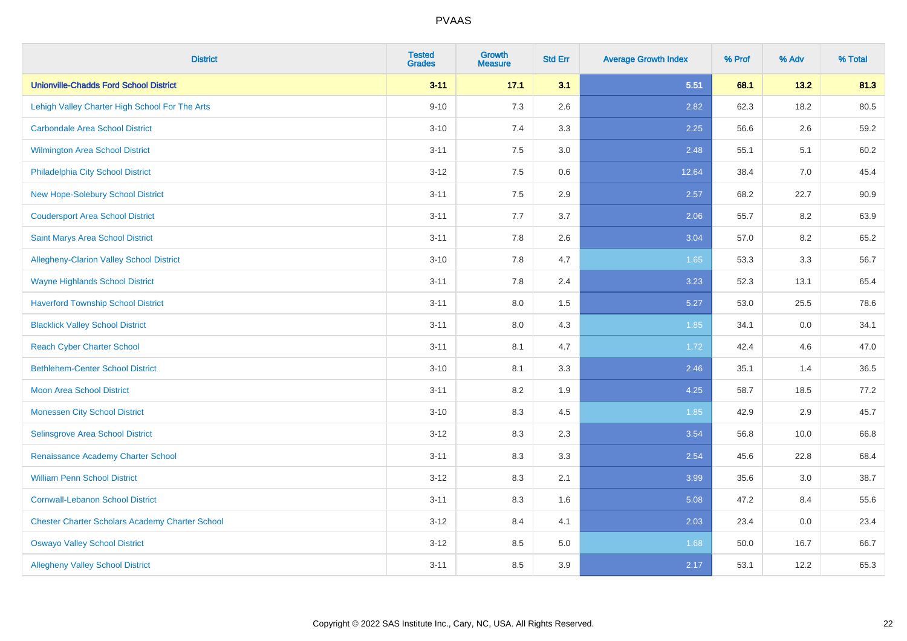| <b>District</b>                                        | <b>Tested</b><br><b>Grades</b> | <b>Growth</b><br><b>Measure</b> | <b>Std Err</b> | <b>Average Growth Index</b> | % Prof | % Adv | % Total |
|--------------------------------------------------------|--------------------------------|---------------------------------|----------------|-----------------------------|--------|-------|---------|
| <b>Unionville-Chadds Ford School District</b>          | $3 - 11$                       | 17.1                            | 3.1            | 5.51                        | 68.1   | 13.2  | 81.3    |
| Lehigh Valley Charter High School For The Arts         | $9 - 10$                       | 7.3                             | 2.6            | 2.82                        | 62.3   | 18.2  | 80.5    |
| <b>Carbondale Area School District</b>                 | $3 - 10$                       | 7.4                             | 3.3            | 2.25                        | 56.6   | 2.6   | 59.2    |
| <b>Wilmington Area School District</b>                 | $3 - 11$                       | 7.5                             | 3.0            | 2.48                        | 55.1   | 5.1   | 60.2    |
| Philadelphia City School District                      | $3 - 12$                       | 7.5                             | 0.6            | 12.64                       | 38.4   | 7.0   | 45.4    |
| New Hope-Solebury School District                      | $3 - 11$                       | 7.5                             | 2.9            | 2.57                        | 68.2   | 22.7  | 90.9    |
| <b>Coudersport Area School District</b>                | $3 - 11$                       | 7.7                             | 3.7            | 2.06                        | 55.7   | 8.2   | 63.9    |
| <b>Saint Marys Area School District</b>                | $3 - 11$                       | 7.8                             | 2.6            | 3.04                        | 57.0   | 8.2   | 65.2    |
| Allegheny-Clarion Valley School District               | $3 - 10$                       | 7.8                             | 4.7            | 1.65                        | 53.3   | 3.3   | 56.7    |
| <b>Wayne Highlands School District</b>                 | $3 - 11$                       | 7.8                             | 2.4            | 3.23                        | 52.3   | 13.1  | 65.4    |
| <b>Haverford Township School District</b>              | $3 - 11$                       | 8.0                             | 1.5            | 5.27                        | 53.0   | 25.5  | 78.6    |
| <b>Blacklick Valley School District</b>                | $3 - 11$                       | 8.0                             | 4.3            | 1.85                        | 34.1   | 0.0   | 34.1    |
| <b>Reach Cyber Charter School</b>                      | $3 - 11$                       | 8.1                             | 4.7            | 1.72                        | 42.4   | 4.6   | 47.0    |
| <b>Bethlehem-Center School District</b>                | $3 - 10$                       | 8.1                             | 3.3            | 2.46                        | 35.1   | 1.4   | 36.5    |
| <b>Moon Area School District</b>                       | $3 - 11$                       | 8.2                             | 1.9            | 4.25                        | 58.7   | 18.5  | 77.2    |
| <b>Monessen City School District</b>                   | $3 - 10$                       | 8.3                             | 4.5            | 1.85                        | 42.9   | 2.9   | 45.7    |
| Selinsgrove Area School District                       | $3 - 12$                       | 8.3                             | 2.3            | 3.54                        | 56.8   | 10.0  | 66.8    |
| Renaissance Academy Charter School                     | $3 - 11$                       | 8.3                             | 3.3            | 2.54                        | 45.6   | 22.8  | 68.4    |
| <b>William Penn School District</b>                    | $3 - 12$                       | 8.3                             | 2.1            | 3.99                        | 35.6   | 3.0   | 38.7    |
| <b>Cornwall-Lebanon School District</b>                | $3 - 11$                       | 8.3                             | 1.6            | 5.08                        | 47.2   | 8.4   | 55.6    |
| <b>Chester Charter Scholars Academy Charter School</b> | $3 - 12$                       | 8.4                             | 4.1            | 2.03                        | 23.4   | 0.0   | 23.4    |
| <b>Oswayo Valley School District</b>                   | $3-12$                         | 8.5                             | 5.0            | 1.68                        | 50.0   | 16.7  | 66.7    |
| <b>Allegheny Valley School District</b>                | $3 - 11$                       | 8.5                             | 3.9            | 2.17                        | 53.1   | 12.2  | 65.3    |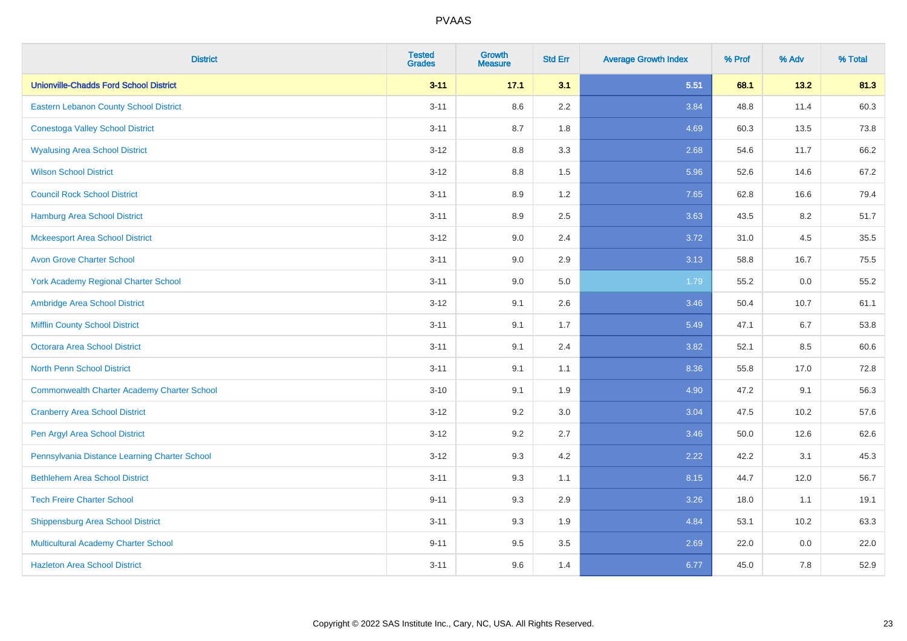| <b>District</b>                                    | <b>Tested</b><br><b>Grades</b> | Growth<br><b>Measure</b> | <b>Std Err</b> | <b>Average Growth Index</b> | % Prof | % Adv   | % Total |
|----------------------------------------------------|--------------------------------|--------------------------|----------------|-----------------------------|--------|---------|---------|
| <b>Unionville-Chadds Ford School District</b>      | $3 - 11$                       | 17.1                     | 3.1            | 5.51                        | 68.1   | 13.2    | 81.3    |
| Eastern Lebanon County School District             | $3 - 11$                       | 8.6                      | 2.2            | 3.84                        | 48.8   | 11.4    | 60.3    |
| <b>Conestoga Valley School District</b>            | $3 - 11$                       | 8.7                      | 1.8            | 4.69                        | 60.3   | 13.5    | 73.8    |
| <b>Wyalusing Area School District</b>              | $3 - 12$                       | 8.8                      | 3.3            | 2.68                        | 54.6   | 11.7    | 66.2    |
| <b>Wilson School District</b>                      | $3-12$                         | 8.8                      | 1.5            | 5.96                        | 52.6   | 14.6    | 67.2    |
| <b>Council Rock School District</b>                | $3 - 11$                       | 8.9                      | 1.2            | 7.65                        | 62.8   | 16.6    | 79.4    |
| <b>Hamburg Area School District</b>                | $3 - 11$                       | 8.9                      | 2.5            | 3.63                        | 43.5   | 8.2     | 51.7    |
| <b>Mckeesport Area School District</b>             | $3 - 12$                       | 9.0                      | 2.4            | 3.72                        | 31.0   | 4.5     | 35.5    |
| <b>Avon Grove Charter School</b>                   | $3 - 11$                       | 9.0                      | 2.9            | 3.13                        | 58.8   | 16.7    | 75.5    |
| <b>York Academy Regional Charter School</b>        | $3 - 11$                       | 9.0                      | 5.0            | 1.79                        | 55.2   | 0.0     | 55.2    |
| Ambridge Area School District                      | $3 - 12$                       | 9.1                      | 2.6            | 3.46                        | 50.4   | 10.7    | 61.1    |
| <b>Mifflin County School District</b>              | $3 - 11$                       | 9.1                      | 1.7            | 5.49                        | 47.1   | 6.7     | 53.8    |
| Octorara Area School District                      | $3 - 11$                       | 9.1                      | 2.4            | 3.82                        | 52.1   | 8.5     | 60.6    |
| <b>North Penn School District</b>                  | $3 - 11$                       | 9.1                      | 1.1            | 8.36                        | 55.8   | 17.0    | 72.8    |
| <b>Commonwealth Charter Academy Charter School</b> | $3 - 10$                       | 9.1                      | 1.9            | 4.90                        | 47.2   | 9.1     | 56.3    |
| <b>Cranberry Area School District</b>              | $3 - 12$                       | 9.2                      | 3.0            | 3.04                        | 47.5   | 10.2    | 57.6    |
| Pen Argyl Area School District                     | $3 - 12$                       | 9.2                      | 2.7            | 3.46                        | 50.0   | 12.6    | 62.6    |
| Pennsylvania Distance Learning Charter School      | $3-12$                         | 9.3                      | 4.2            | 2.22                        | 42.2   | 3.1     | 45.3    |
| <b>Bethlehem Area School District</b>              | $3 - 11$                       | 9.3                      | 1.1            | 8.15                        | 44.7   | 12.0    | 56.7    |
| <b>Tech Freire Charter School</b>                  | $9 - 11$                       | 9.3                      | 2.9            | 3.26                        | 18.0   | 1.1     | 19.1    |
| <b>Shippensburg Area School District</b>           | $3 - 11$                       | 9.3                      | 1.9            | 4.84                        | 53.1   | 10.2    | 63.3    |
| Multicultural Academy Charter School               | $9 - 11$                       | 9.5                      | 3.5            | 2.69                        | 22.0   | $0.0\,$ | 22.0    |
| <b>Hazleton Area School District</b>               | $3 - 11$                       | 9.6                      | 1.4            | 6.77                        | 45.0   | 7.8     | 52.9    |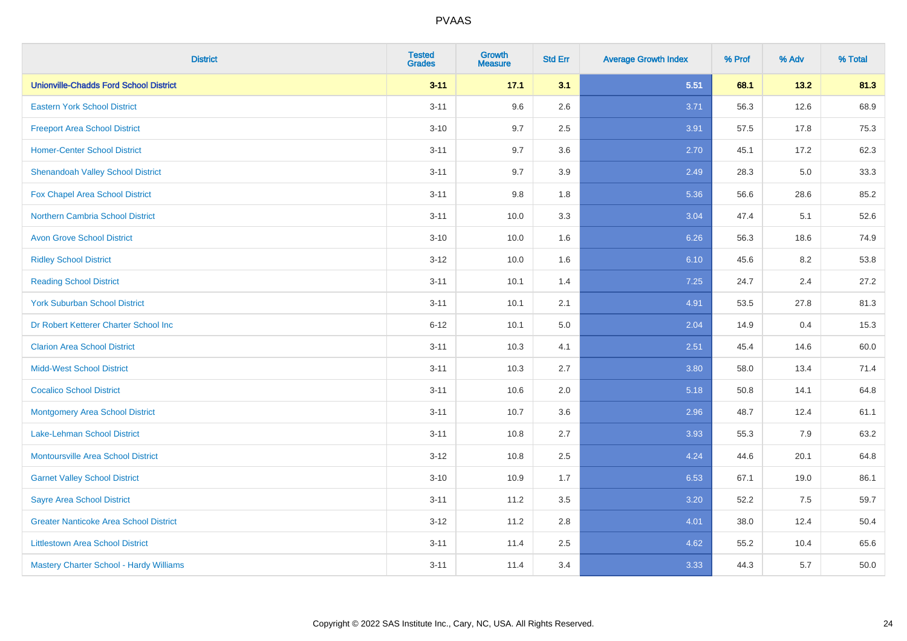| <b>District</b>                               | <b>Tested</b><br><b>Grades</b> | <b>Growth</b><br><b>Measure</b> | <b>Std Err</b> | <b>Average Growth Index</b> | % Prof | % Adv | % Total |
|-----------------------------------------------|--------------------------------|---------------------------------|----------------|-----------------------------|--------|-------|---------|
| <b>Unionville-Chadds Ford School District</b> | $3 - 11$                       | 17.1                            | 3.1            | 5.51                        | 68.1   | 13.2  | 81.3    |
| <b>Eastern York School District</b>           | $3 - 11$                       | 9.6                             | 2.6            | 3.71                        | 56.3   | 12.6  | 68.9    |
| <b>Freeport Area School District</b>          | $3 - 10$                       | 9.7                             | 2.5            | 3.91                        | 57.5   | 17.8  | 75.3    |
| <b>Homer-Center School District</b>           | $3 - 11$                       | 9.7                             | 3.6            | 2.70                        | 45.1   | 17.2  | 62.3    |
| <b>Shenandoah Valley School District</b>      | $3 - 11$                       | 9.7                             | 3.9            | 2.49                        | 28.3   | 5.0   | 33.3    |
| <b>Fox Chapel Area School District</b>        | $3 - 11$                       | 9.8                             | 1.8            | 5.36                        | 56.6   | 28.6  | 85.2    |
| <b>Northern Cambria School District</b>       | $3 - 11$                       | 10.0                            | 3.3            | 3.04                        | 47.4   | 5.1   | 52.6    |
| <b>Avon Grove School District</b>             | $3 - 10$                       | 10.0                            | 1.6            | 6.26                        | 56.3   | 18.6  | 74.9    |
| <b>Ridley School District</b>                 | $3 - 12$                       | 10.0                            | 1.6            | 6.10                        | 45.6   | 8.2   | 53.8    |
| <b>Reading School District</b>                | $3 - 11$                       | 10.1                            | 1.4            | 7.25                        | 24.7   | 2.4   | 27.2    |
| <b>York Suburban School District</b>          | $3 - 11$                       | 10.1                            | 2.1            | 4.91                        | 53.5   | 27.8  | 81.3    |
| Dr Robert Ketterer Charter School Inc         | $6 - 12$                       | 10.1                            | 5.0            | 2.04                        | 14.9   | 0.4   | 15.3    |
| <b>Clarion Area School District</b>           | $3 - 11$                       | 10.3                            | 4.1            | 2.51                        | 45.4   | 14.6  | 60.0    |
| <b>Midd-West School District</b>              | $3 - 11$                       | 10.3                            | 2.7            | 3.80                        | 58.0   | 13.4  | 71.4    |
| <b>Cocalico School District</b>               | $3 - 11$                       | 10.6                            | 2.0            | 5.18                        | 50.8   | 14.1  | 64.8    |
| <b>Montgomery Area School District</b>        | $3 - 11$                       | 10.7                            | 3.6            | 2.96                        | 48.7   | 12.4  | 61.1    |
| Lake-Lehman School District                   | $3 - 11$                       | 10.8                            | 2.7            | 3.93                        | 55.3   | 7.9   | 63.2    |
| <b>Montoursville Area School District</b>     | $3 - 12$                       | 10.8                            | 2.5            | 4.24                        | 44.6   | 20.1  | 64.8    |
| <b>Garnet Valley School District</b>          | $3 - 10$                       | 10.9                            | 1.7            | 6.53                        | 67.1   | 19.0  | 86.1    |
| <b>Sayre Area School District</b>             | $3 - 11$                       | 11.2                            | 3.5            | 3.20                        | 52.2   | 7.5   | 59.7    |
| <b>Greater Nanticoke Area School District</b> | $3-12$                         | 11.2                            | 2.8            | 4.01                        | 38.0   | 12.4  | 50.4    |
| <b>Littlestown Area School District</b>       | $3 - 11$                       | 11.4                            | 2.5            | 4.62                        | 55.2   | 10.4  | 65.6    |
| Mastery Charter School - Hardy Williams       | $3 - 11$                       | 11.4                            | 3.4            | 3.33                        | 44.3   | 5.7   | 50.0    |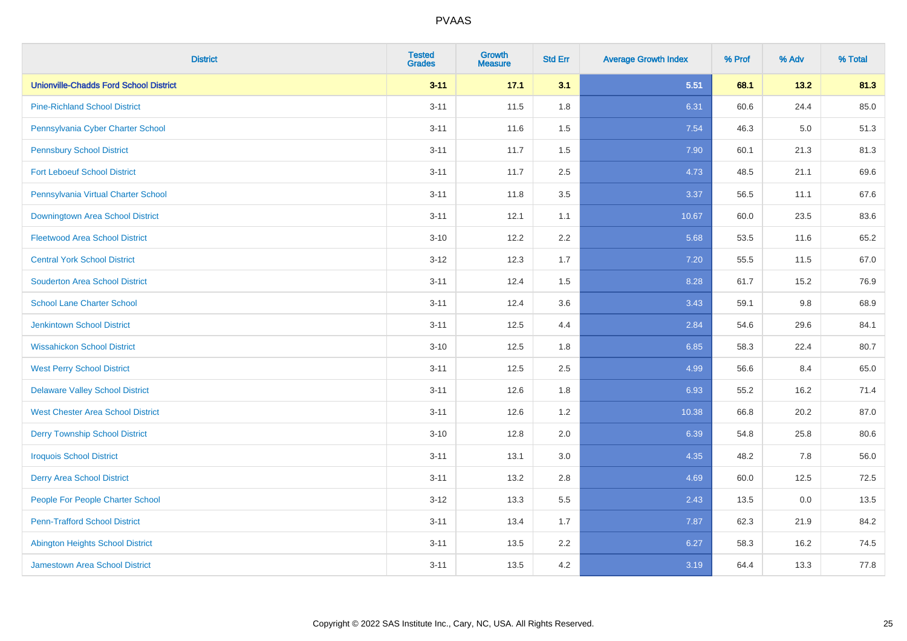| <b>District</b>                               | <b>Tested</b><br><b>Grades</b> | <b>Growth</b><br><b>Measure</b> | <b>Std Err</b> | <b>Average Growth Index</b> | % Prof | % Adv | % Total |
|-----------------------------------------------|--------------------------------|---------------------------------|----------------|-----------------------------|--------|-------|---------|
| <b>Unionville-Chadds Ford School District</b> | $3 - 11$                       | 17.1                            | 3.1            | 5.51                        | 68.1   | 13.2  | 81.3    |
| <b>Pine-Richland School District</b>          | $3 - 11$                       | 11.5                            | 1.8            | 6.31                        | 60.6   | 24.4  | 85.0    |
| Pennsylvania Cyber Charter School             | $3 - 11$                       | 11.6                            | 1.5            | 7.54                        | 46.3   | 5.0   | 51.3    |
| <b>Pennsbury School District</b>              | $3 - 11$                       | 11.7                            | 1.5            | 7.90                        | 60.1   | 21.3  | 81.3    |
| <b>Fort Leboeuf School District</b>           | $3 - 11$                       | 11.7                            | 2.5            | 4.73                        | 48.5   | 21.1  | 69.6    |
| Pennsylvania Virtual Charter School           | $3 - 11$                       | 11.8                            | 3.5            | 3.37                        | 56.5   | 11.1  | 67.6    |
| Downingtown Area School District              | $3 - 11$                       | 12.1                            | 1.1            | 10.67                       | 60.0   | 23.5  | 83.6    |
| <b>Fleetwood Area School District</b>         | $3 - 10$                       | 12.2                            | 2.2            | 5.68                        | 53.5   | 11.6  | 65.2    |
| <b>Central York School District</b>           | $3-12$                         | 12.3                            | 1.7            | 7.20                        | 55.5   | 11.5  | 67.0    |
| <b>Souderton Area School District</b>         | $3 - 11$                       | 12.4                            | 1.5            | 8.28                        | 61.7   | 15.2  | 76.9    |
| <b>School Lane Charter School</b>             | $3 - 11$                       | 12.4                            | 3.6            | 3.43                        | 59.1   | 9.8   | 68.9    |
| <b>Jenkintown School District</b>             | $3 - 11$                       | 12.5                            | 4.4            | 2.84                        | 54.6   | 29.6  | 84.1    |
| <b>Wissahickon School District</b>            | $3 - 10$                       | 12.5                            | 1.8            | 6.85                        | 58.3   | 22.4  | 80.7    |
| <b>West Perry School District</b>             | $3 - 11$                       | 12.5                            | 2.5            | 4.99                        | 56.6   | 8.4   | 65.0    |
| <b>Delaware Valley School District</b>        | $3 - 11$                       | 12.6                            | 1.8            | 6.93                        | 55.2   | 16.2  | 71.4    |
| <b>West Chester Area School District</b>      | $3 - 11$                       | 12.6                            | 1.2            | 10.38                       | 66.8   | 20.2  | 87.0    |
| <b>Derry Township School District</b>         | $3 - 10$                       | 12.8                            | 2.0            | 6.39                        | 54.8   | 25.8  | 80.6    |
| <b>Iroquois School District</b>               | $3 - 11$                       | 13.1                            | 3.0            | 4.35                        | 48.2   | 7.8   | 56.0    |
| <b>Derry Area School District</b>             | $3 - 11$                       | 13.2                            | 2.8            | 4.69                        | 60.0   | 12.5  | 72.5    |
| People For People Charter School              | $3 - 12$                       | 13.3                            | 5.5            | 2.43                        | 13.5   | 0.0   | 13.5    |
| <b>Penn-Trafford School District</b>          | $3 - 11$                       | 13.4                            | 1.7            | 7.87                        | 62.3   | 21.9  | 84.2    |
| <b>Abington Heights School District</b>       | $3 - 11$                       | 13.5                            | 2.2            | 6.27                        | 58.3   | 16.2  | 74.5    |
| <b>Jamestown Area School District</b>         | $3 - 11$                       | 13.5                            | 4.2            | 3.19                        | 64.4   | 13.3  | 77.8    |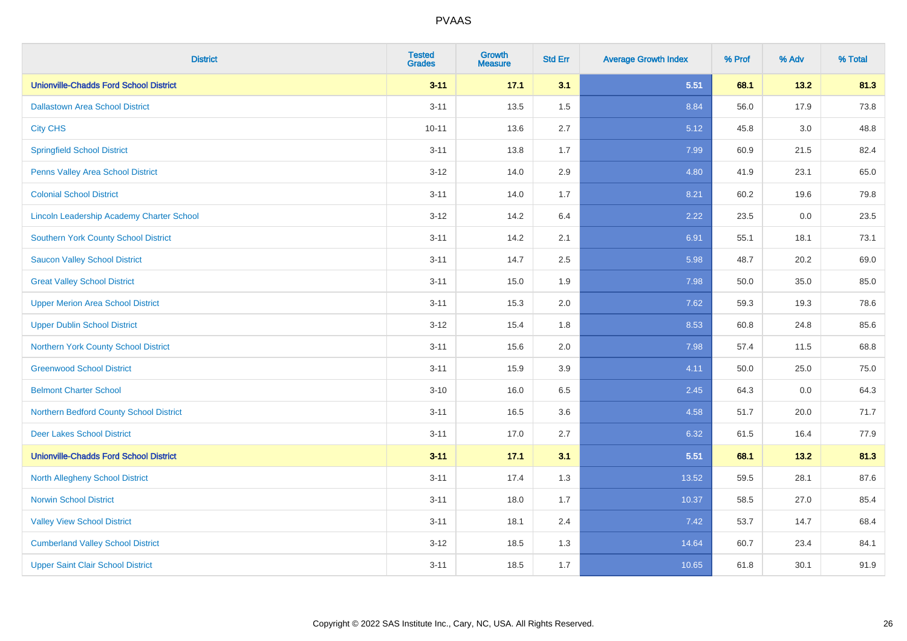| <b>District</b>                                  | <b>Tested</b><br><b>Grades</b> | <b>Growth</b><br><b>Measure</b> | <b>Std Err</b> | <b>Average Growth Index</b> | % Prof | % Adv   | % Total |
|--------------------------------------------------|--------------------------------|---------------------------------|----------------|-----------------------------|--------|---------|---------|
| <b>Unionville-Chadds Ford School District</b>    | $3 - 11$                       | 17.1                            | 3.1            | 5.51                        | 68.1   | 13.2    | 81.3    |
| <b>Dallastown Area School District</b>           | $3 - 11$                       | 13.5                            | 1.5            | 8.84                        | 56.0   | 17.9    | 73.8    |
| <b>City CHS</b>                                  | $10 - 11$                      | 13.6                            | 2.7            | 5.12                        | 45.8   | 3.0     | 48.8    |
| <b>Springfield School District</b>               | $3 - 11$                       | 13.8                            | 1.7            | 7.99                        | 60.9   | 21.5    | 82.4    |
| Penns Valley Area School District                | $3 - 12$                       | 14.0                            | 2.9            | 4.80                        | 41.9   | 23.1    | 65.0    |
| <b>Colonial School District</b>                  | $3 - 11$                       | 14.0                            | 1.7            | 8.21                        | 60.2   | 19.6    | 79.8    |
| <b>Lincoln Leadership Academy Charter School</b> | $3 - 12$                       | 14.2                            | 6.4            | 2.22                        | 23.5   | $0.0\,$ | 23.5    |
| <b>Southern York County School District</b>      | $3 - 11$                       | 14.2                            | 2.1            | 6.91                        | 55.1   | 18.1    | 73.1    |
| <b>Saucon Valley School District</b>             | $3 - 11$                       | 14.7                            | 2.5            | 5.98                        | 48.7   | 20.2    | 69.0    |
| <b>Great Valley School District</b>              | $3 - 11$                       | 15.0                            | 1.9            | 7.98                        | 50.0   | 35.0    | 85.0    |
| <b>Upper Merion Area School District</b>         | $3 - 11$                       | 15.3                            | 2.0            | 7.62                        | 59.3   | 19.3    | 78.6    |
| <b>Upper Dublin School District</b>              | $3 - 12$                       | 15.4                            | 1.8            | 8.53                        | 60.8   | 24.8    | 85.6    |
| Northern York County School District             | $3 - 11$                       | 15.6                            | 2.0            | 7.98                        | 57.4   | 11.5    | 68.8    |
| <b>Greenwood School District</b>                 | $3 - 11$                       | 15.9                            | 3.9            | 4.11                        | 50.0   | 25.0    | 75.0    |
| <b>Belmont Charter School</b>                    | $3 - 10$                       | 16.0                            | 6.5            | 2.45                        | 64.3   | 0.0     | 64.3    |
| Northern Bedford County School District          | $3 - 11$                       | 16.5                            | 3.6            | 4.58                        | 51.7   | 20.0    | 71.7    |
| <b>Deer Lakes School District</b>                | $3 - 11$                       | 17.0                            | 2.7            | 6.32                        | 61.5   | 16.4    | 77.9    |
| <b>Unionville-Chadds Ford School District</b>    | $3 - 11$                       | 17.1                            | 3.1            | 5.51                        | 68.1   | $13.2$  | 81.3    |
| <b>North Allegheny School District</b>           | $3 - 11$                       | 17.4                            | 1.3            | 13.52                       | 59.5   | 28.1    | 87.6    |
| <b>Norwin School District</b>                    | $3 - 11$                       | 18.0                            | 1.7            | 10.37                       | 58.5   | 27.0    | 85.4    |
| <b>Valley View School District</b>               | $3 - 11$                       | 18.1                            | 2.4            | 7.42                        | 53.7   | 14.7    | 68.4    |
| <b>Cumberland Valley School District</b>         | $3 - 12$                       | 18.5                            | 1.3            | 14.64                       | 60.7   | 23.4    | 84.1    |
| <b>Upper Saint Clair School District</b>         | $3 - 11$                       | 18.5                            | 1.7            | 10.65                       | 61.8   | 30.1    | 91.9    |